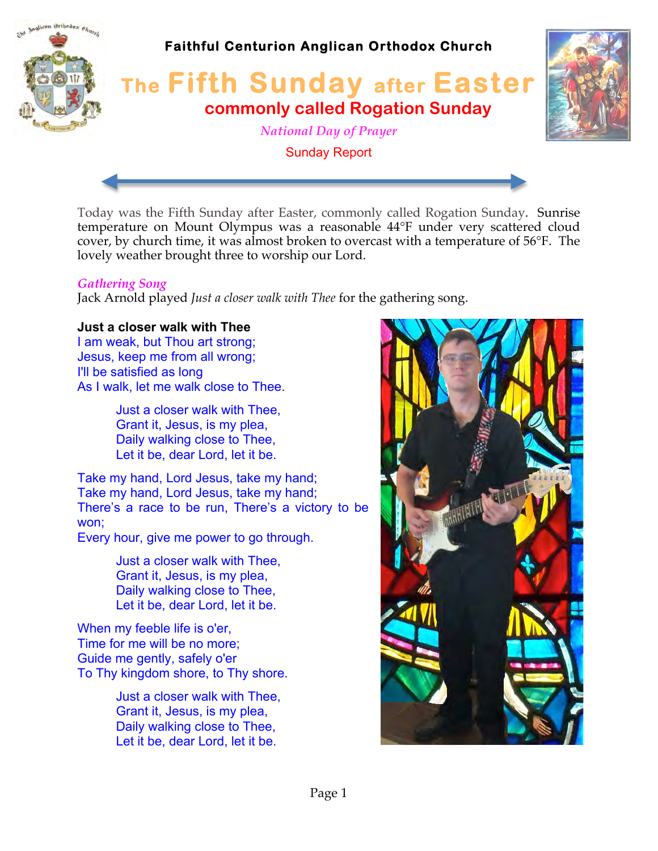

Today was the Fifth Sunday after Easter, commonly called Rogation Sunday. Sunrise temperature on Mount Olympus was a reasonable 44°F under very scattered cloud cover, by church time, it was almost broken to overcast with a temperature of 56°F. The lovely weather brought three to worship our Lord.

#### *Gathering Song*

Jack Arnold played *Just a closer walk with Thee* for the gathering song.

### **Just a closer walk with Thee**

I am weak, but Thou art strong; Jesus, keep me from all wrong; I'll be satisfied as long As I walk, let me walk close to Thee.

> Just a closer walk with Thee, Grant it, Jesus, is my plea, Daily walking close to Thee, Let it be, dear Lord, let it be.

Take my hand, Lord Jesus, take my hand; Take my hand, Lord Jesus, take my hand; There's a race to be run, There's a victory to be won;

Every hour, give me power to go through.

Just a closer walk with Thee, Grant it, Jesus, is my plea, Daily walking close to Thee, Let it be, dear Lord, let it be.

When my feeble life is o'er, Time for me will be no more; Guide me gently, safely o'er To Thy kingdom shore, to Thy shore.

> Just a closer walk with Thee, Grant it, Jesus, is my plea, Daily walking close to Thee, Let it be, dear Lord, let it be.

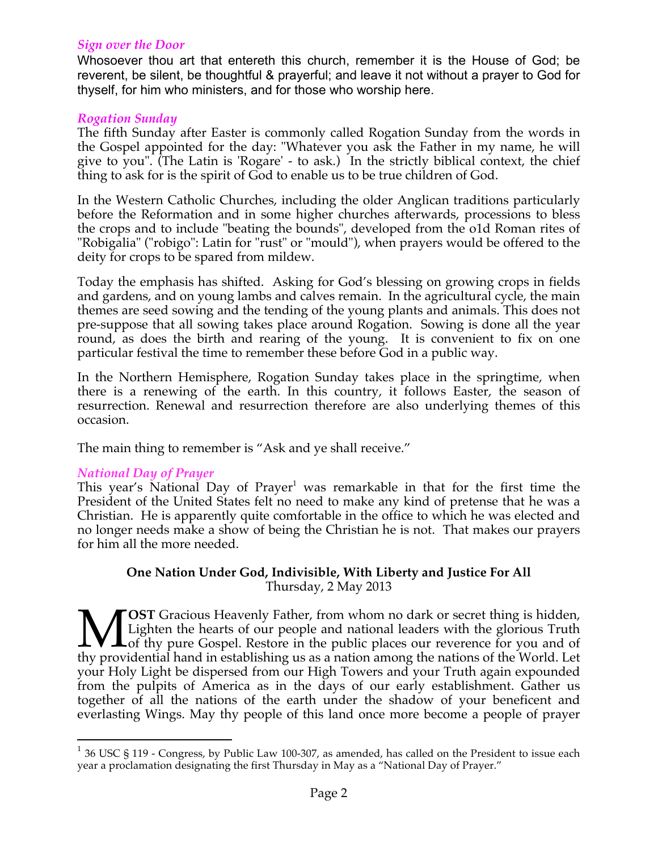#### *Sign over the Door*

Whosoever thou art that entereth this church, remember it is the House of God; be reverent, be silent, be thoughtful & prayerful; and leave it not without a prayer to God for thyself, for him who ministers, and for those who worship here.

#### *Rogation Sunday*

The fifth Sunday after Easter is commonly called Rogation Sunday from the words in the Gospel appointed for the day: "Whatever you ask the Father in my name, he will give to you". (The Latin is 'Rogare' - to ask.) In the strictly biblical context, the chief thing to ask for is the spirit of God to enable us to be true children of God.

In the Western Catholic Churches, including the older Anglican traditions particularly before the Reformation and in some higher churches afterwards, processions to bless the crops and to include "beating the bounds", developed from the o1d Roman rites of "Robigalia" ("robigo": Latin for "rust" or "mould"), when prayers would be offered to the deity for crops to be spared from mildew.

Today the emphasis has shifted. Asking for God's blessing on growing crops in fields and gardens, and on young lambs and calves remain. In the agricultural cycle, the main themes are seed sowing and the tending of the young plants and animals. This does not pre-suppose that all sowing takes place around Rogation. Sowing is done all the year round, as does the birth and rearing of the young. It is convenient to fix on one particular festival the time to remember these before God in a public way.

In the Northern Hemisphere, Rogation Sunday takes place in the springtime, when there is a renewing of the earth. In this country, it follows Easter, the season of resurrection. Renewal and resurrection therefore are also underlying themes of this occasion.

The main thing to remember is "Ask and ye shall receive."

### *National Day of Prayer*

This year's National Day of Prayer<sup>1</sup> was remarkable in that for the first time the President of the United States felt no need to make any kind of pretense that he was a Christian. He is apparently quite comfortable in the office to which he was elected and no longer needs make a show of being the Christian he is not. That makes our prayers for him all the more needed.

#### **One Nation Under God, Indivisible, With Liberty and Justice For All** Thursday, 2 May 2013

**OST** Gracious Heavenly Father, from whom no dark or secret thing is hidden, Lighten the hearts of our people and national leaders with the glorious Truth Lof thy pure Gospel. Restore in the public places our reverence for you and of **VECT** Gracious Heavenly Father, from whom no dark or secret thing is hidden, Lighten the hearts of our people and national leaders with the glorious Truth thy pure Gospel. Restore in the public places our reverence for yo your Holy Light be dispersed from our High Towers and your Truth again expounded from the pulpits of America as in the days of our early establishment. Gather us together of all the nations of the earth under the shadow of your beneficent and everlasting Wings. May thy people of this land once more become a people of prayer

 $1$  36 USC § 119 - Congress, by Public Law 100-307, as amended, has called on the President to issue each year a proclamation designating the first Thursday in May as a "National Day of Prayer."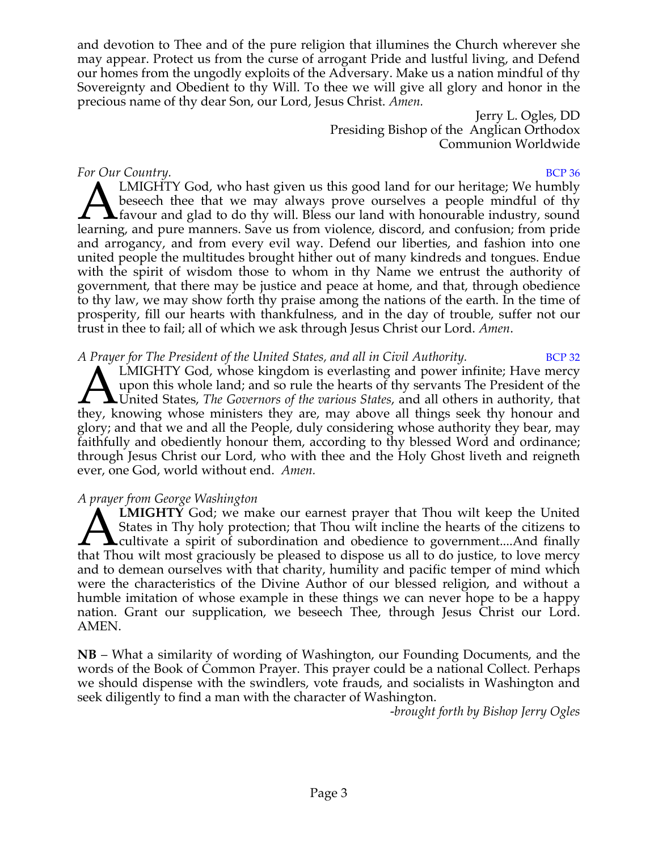and devotion to Thee and of the pure religion that illumines the Church wherever she may appear. Protect us from the curse of arrogant Pride and lustful living, and Defend our homes from the ungodly exploits of the Adversary. Make us a nation mindful of thy Sovereignty and Obedient to thy Will. To thee we will give all glory and honor in the precious name of thy dear Son, our Lord, Jesus Christ. *Amen.*

> Jerry L. Ogles, DD Presiding Bishop of the Anglican Orthodox Communion Worldwide

### *For Our Country.* BCP 36

LMIGHTY God, who hast given us this good land for our heritage; We humbly beseech thee that we may always prove ourselves a people mindful of thy favour and glad to do thy will. Bless our land with honourable industry, sound LMIGHTY God, who hast given us this good land for our heritage; We humbly beseech thee that we may always prove ourselves a people mindful of thy favour and glad to do thy will. Bless our land with honourable industry, sou and arrogancy, and from every evil way. Defend our liberties, and fashion into one united people the multitudes brought hither out of many kindreds and tongues. Endue with the spirit of wisdom those to whom in thy Name we entrust the authority of government, that there may be justice and peace at home, and that, through obedience to thy law, we may show forth thy praise among the nations of the earth. In the time of prosperity, fill our hearts with thankfulness, and in the day of trouble, suffer not our trust in thee to fail; all of which we ask through Jesus Christ our Lord. *Amen*.

*A Prayer for The President of the United States, and all in Civil Authority.* BCP 32

LMIGHTY God, whose kingdom is everlasting and power infinite; Have mercy upon this whole land; and so rule the hearts of thy servants The President of the United States, *The Governors of the various States*, and all others in authority, that LMIGHTY God, whose kingdom is everlasting and power infinite; Have mercy upon this whole land; and so rule the hearts of thy servants The President of the LUnited States, *The Governors of the various States*, and all othe glory; and that we and all the People, duly considering whose authority they bear, may faithfully and obediently honour them, according to thy blessed Word and ordinance; through Jesus Christ our Lord, who with thee and the Holy Ghost liveth and reigneth ever, one God, world without end. *Amen.*

# *A prayer from George Washington*

**LMIGHTY** God; we make our earnest prayer that Thou wilt keep the United States in Thy holy protection; that Thou wilt incline the hearts of the citizens to **A**cultivate a spirit of subordination and obedience to government....And finally **ALINIGHTY** God; we make our earnest prayer that Thou wilt keep the United States in Thy holy protection; that Thou wilt incline the hearts of the citizens to cultivate a spirit of subordination and obedience to government and to demean ourselves with that charity, humility and pacific temper of mind which were the characteristics of the Divine Author of our blessed religion, and without a humble imitation of whose example in these things we can never hope to be a happy nation. Grant our supplication, we beseech Thee, through Jesus Christ our Lord. AMEN.

**NB** – What a similarity of wording of Washington, our Founding Documents, and the words of the Book of Common Prayer. This prayer could be a national Collect. Perhaps we should dispense with the swindlers, vote frauds, and socialists in Washington and seek diligently to find a man with the character of Washington.

*-brought forth by Bishop Jerry Ogles*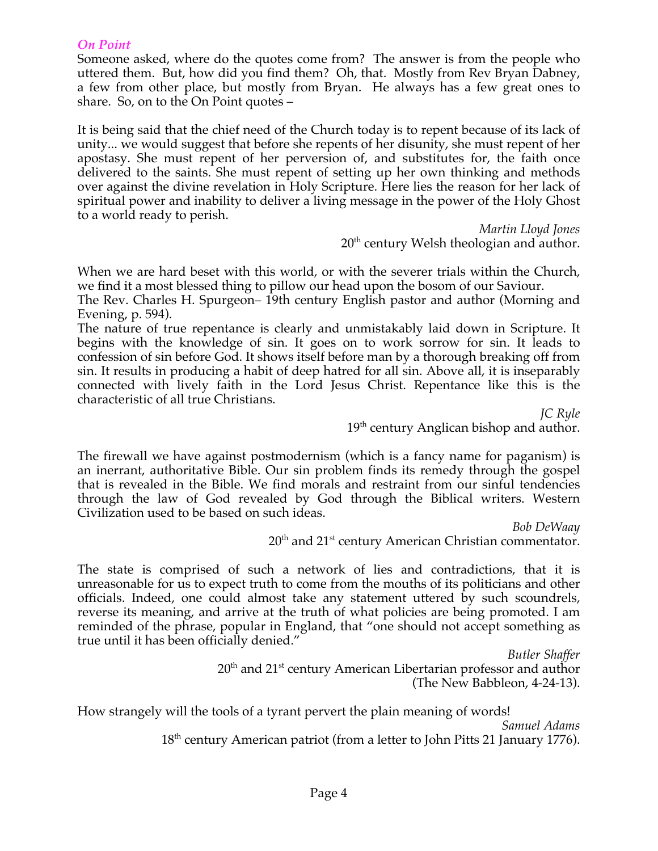#### *On Point*

Someone asked, where do the quotes come from? The answer is from the people who uttered them. But, how did you find them? Oh, that. Mostly from Rev Bryan Dabney, a few from other place, but mostly from Bryan. He always has a few great ones to share. So, on to the On Point quotes –

It is being said that the chief need of the Church today is to repent because of its lack of unity... we would suggest that before she repents of her disunity, she must repent of her apostasy. She must repent of her perversion of, and substitutes for, the faith once delivered to the saints. She must repent of setting up her own thinking and methods over against the divine revelation in Holy Scripture. Here lies the reason for her lack of spiritual power and inability to deliver a living message in the power of the Holy Ghost to a world ready to perish.

> *Martin Lloyd Jones*  $20<sup>th</sup>$  century Welsh theologian and author.

When we are hard beset with this world, or with the severer trials within the Church, we find it a most blessed thing to pillow our head upon the bosom of our Saviour.

The Rev. Charles H. Spurgeon– 19th century English pastor and author (Morning and Evening, p. 594).

The nature of true repentance is clearly and unmistakably laid down in Scripture. It begins with the knowledge of sin. It goes on to work sorrow for sin. It leads to confession of sin before God. It shows itself before man by a thorough breaking off from sin. It results in producing a habit of deep hatred for all sin. Above all, it is inseparably connected with lively faith in the Lord Jesus Christ. Repentance like this is the characteristic of all true Christians.

> *JC Ryle*  $19<sup>th</sup>$  century Anglican bishop and author.

The firewall we have against postmodernism (which is a fancy name for paganism) is an inerrant, authoritative Bible. Our sin problem finds its remedy through the gospel that is revealed in the Bible. We find morals and restraint from our sinful tendencies through the law of God revealed by God through the Biblical writers. Western Civilization used to be based on such ideas.

> *Bob DeWaay*  $20<sup>th</sup>$  and  $21<sup>st</sup>$  century American Christian commentator.

The state is comprised of such a network of lies and contradictions, that it is unreasonable for us to expect truth to come from the mouths of its politicians and other officials. Indeed, one could almost take any statement uttered by such scoundrels, reverse its meaning, and arrive at the truth of what policies are being promoted. I am reminded of the phrase, popular in England, that "one should not accept something as true until it has been officially denied."

> *Butler Shaffer* 20<sup>th</sup> and 21<sup>st</sup> century American Libertarian professor and author (The New Babbleon, 4-24-13).

How strangely will the tools of a tyrant pervert the plain meaning of words! *Samuel Adams*  $18<sup>th</sup>$  century American patriot (from a letter to John Pitts 21 January 1776).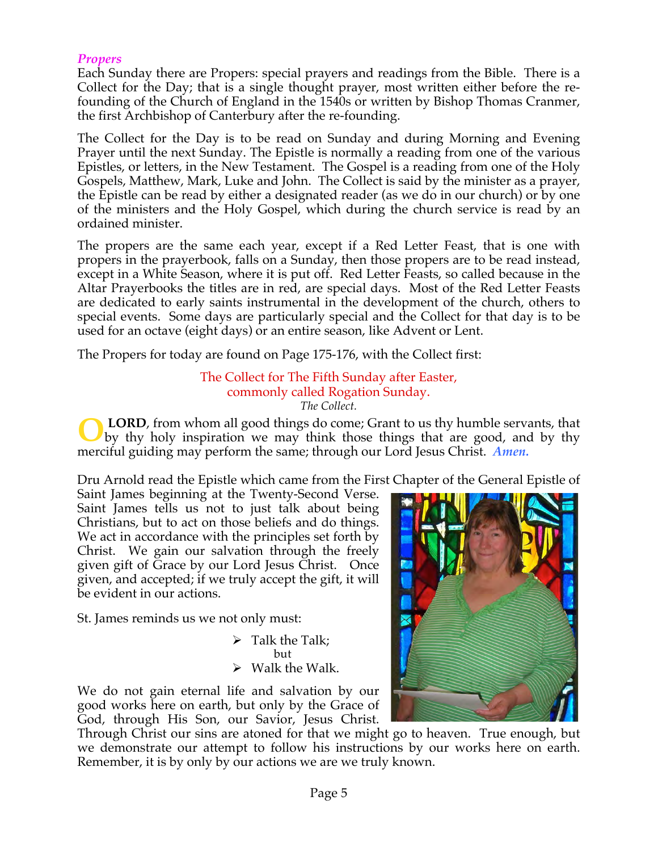### *Propers*

Each Sunday there are Propers: special prayers and readings from the Bible. There is a Collect for the Day; that is a single thought prayer, most written either before the refounding of the Church of England in the 1540s or written by Bishop Thomas Cranmer, the first Archbishop of Canterbury after the re-founding.

The Collect for the Day is to be read on Sunday and during Morning and Evening Prayer until the next Sunday. The Epistle is normally a reading from one of the various Epistles, or letters, in the New Testament. The Gospel is a reading from one of the Holy Gospels, Matthew, Mark, Luke and John. The Collect is said by the minister as a prayer, the Epistle can be read by either a designated reader (as we do in our church) or by one of the ministers and the Holy Gospel, which during the church service is read by an ordained minister.

The propers are the same each year, except if a Red Letter Feast, that is one with propers in the prayerbook, falls on a Sunday, then those propers are to be read instead, except in a White Season, where it is put off. Red Letter Feasts, so called because in the Altar Prayerbooks the titles are in red, are special days. Most of the Red Letter Feasts are dedicated to early saints instrumental in the development of the church, others to special events. Some days are particularly special and the Collect for that day is to be used for an octave (eight days) or an entire season, like Advent or Lent.

The Propers for today are found on Page 175-176, with the Collect first:

#### The Collect for The Fifth Sunday after Easter, commonly called Rogation Sunday. *The Collect.*

**LORD**, from whom all good things do come; Grant to us thy humble servants, that by thy holy inspiration we may think those things that are good, and by thy merciful guiding may perform the same; through our Lord Jesus Christ. *Amen.* **O**

Dru Arnold read the Epistle which came from the First Chapter of the General Epistle of

Saint James beginning at the Twenty-Second Verse. Saint James tells us not to just talk about being Christians, but to act on those beliefs and do things. We act in accordance with the principles set forth by Christ. We gain our salvation through the freely given gift of Grace by our Lord Jesus Christ. Once given, and accepted; if we truly accept the gift, it will be evident in our actions.

St. James reminds us we not only must:

 $\triangleright$  Talk the Talk: but  $\triangleright$  Walk the Walk.

We do not gain eternal life and salvation by our good works here on earth, but only by the Grace of God, through His Son, our Savior, Jesus Christ.

Through Christ our sins are atoned for that we might go to heaven. True enough, but we demonstrate our attempt to follow his instructions by our works here on earth. Remember, it is by only by our actions we are we truly known.

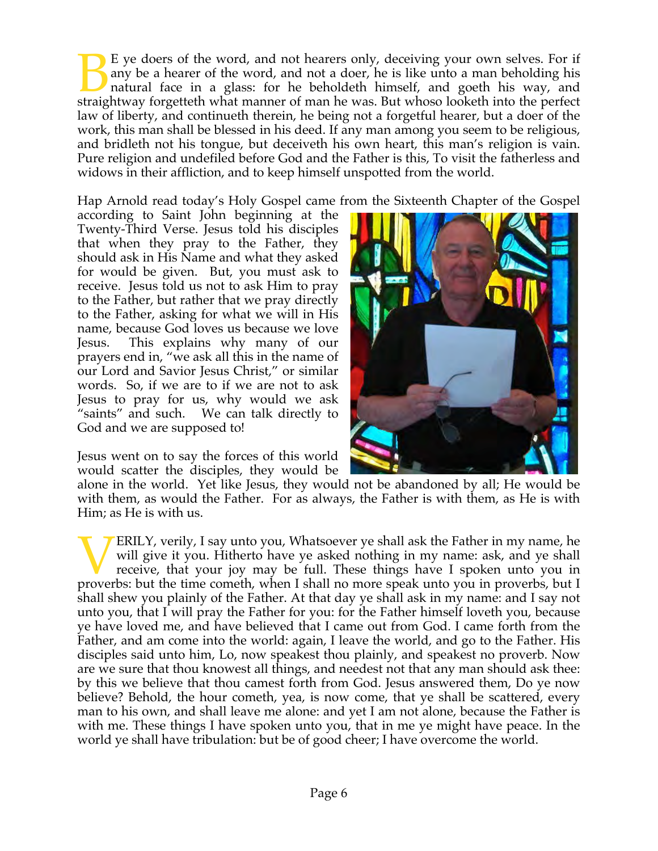E ye doers of the word, and not hearers only, deceiving your own selves. For if any be a hearer of the word, and not a doer, he is like unto a man beholding his natural face in a glass: for he beholdeth himself, and goeth his way, and E ye doers of the word, and not hearers only, deceiving your own selves. For if any be a hearer of the word, and not a doer, he is like unto a man beholding his natural face in a glass: for he beholdeth himself, and goeth law of liberty, and continueth therein, he being not a forgetful hearer, but a doer of the work, this man shall be blessed in his deed. If any man among you seem to be religious, and bridleth not his tongue, but deceiveth his own heart, this man's religion is vain. Pure religion and undefiled before God and the Father is this, To visit the fatherless and widows in their affliction, and to keep himself unspotted from the world.

Hap Arnold read today's Holy Gospel came from the Sixteenth Chapter of the Gospel

according to Saint John beginning at the Twenty-Third Verse. Jesus told his disciples that when they pray to the Father, they should ask in His Name and what they asked for would be given. But, you must ask to receive. Jesus told us not to ask Him to pray to the Father, but rather that we pray directly to the Father, asking for what we will in His name, because God loves us because we love Jesus. This explains why many of our prayers end in, "we ask all this in the name of our Lord and Savior Jesus Christ," or similar words. So, if we are to if we are not to ask Jesus to pray for us, why would we ask "saints" and such. We can talk directly to God and we are supposed to!

Jesus went on to say the forces of this world would scatter the disciples, they would be



alone in the world. Yet like Jesus, they would not be abandoned by all; He would be with them, as would the Father. For as always, the Father is with them, as He is with Him; as He is with us.

ERILY, verily, I say unto you, Whatsoever ye shall ask the Father in my name, he will give it you. Hitherto have ye asked nothing in my name: ask, and ye shall receive, that your joy may be full. These things have I spoken unto you in **PERILY**, verily, I say unto you, Whatsoever ye shall ask the Father in my name, he will give it you. Hitherto have ye asked nothing in my name: ask, and ye shall receive, that your joy may be full. These things have I spo shall shew you plainly of the Father. At that day ye shall ask in my name: and I say not unto you, that I will pray the Father for you: for the Father himself loveth you, because ye have loved me, and have believed that I came out from God. I came forth from the Father, and am come into the world: again, I leave the world, and go to the Father. His disciples said unto him, Lo, now speakest thou plainly, and speakest no proverb. Now are we sure that thou knowest all things, and needest not that any man should ask thee: by this we believe that thou camest forth from God. Jesus answered them, Do ye now believe? Behold, the hour cometh, yea, is now come, that ye shall be scattered, every man to his own, and shall leave me alone: and yet I am not alone, because the Father is with me. These things I have spoken unto you, that in me ye might have peace. In the world ye shall have tribulation: but be of good cheer; I have overcome the world.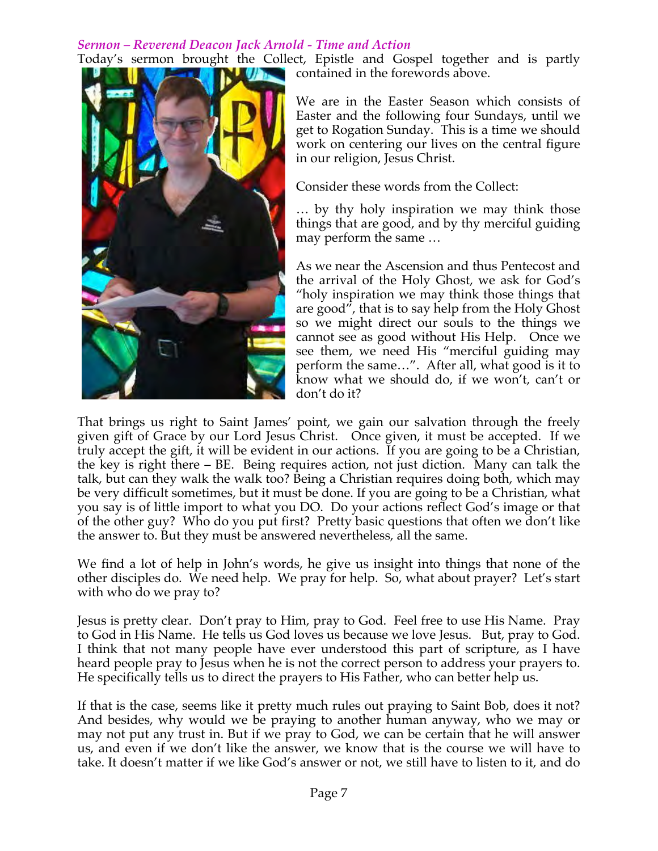# *Sermon – Reverend Deacon Jack Arnold - Time and Action*



Today's sermon brought the Collect, Epistle and Gospel together and is partly contained in the forewords above.

> We are in the Easter Season which consists of Easter and the following four Sundays, until we get to Rogation Sunday. This is a time we should work on centering our lives on the central figure in our religion, Jesus Christ.

Consider these words from the Collect:

… by thy holy inspiration we may think those things that are good, and by thy merciful guiding may perform the same …

As we near the Ascension and thus Pentecost and the arrival of the Holy Ghost, we ask for God's "holy inspiration we may think those things that are good", that is to say help from the Holy Ghost so we might direct our souls to the things we cannot see as good without His Help. Once we see them, we need His "merciful guiding may perform the same…". After all, what good is it to know what we should do, if we won't, can't or don't do it?

That brings us right to Saint James' point, we gain our salvation through the freely given gift of Grace by our Lord Jesus Christ. Once given, it must be accepted. If we truly accept the gift, it will be evident in our actions. If you are going to be a Christian, the key is right there – BE. Being requires action, not just diction. Many can talk the talk, but can they walk the walk too? Being a Christian requires doing both, which may be very difficult sometimes, but it must be done. If you are going to be a Christian, what you say is of little import to what you DO. Do your actions reflect God's image or that of the other guy? Who do you put first? Pretty basic questions that often we don't like the answer to. But they must be answered nevertheless, all the same.

We find a lot of help in John's words, he give us insight into things that none of the other disciples do. We need help. We pray for help. So, what about prayer? Let's start with who do we pray to?

Jesus is pretty clear. Don't pray to Him, pray to God. Feel free to use His Name. Pray to God in His Name. He tells us God loves us because we love Jesus. But, pray to God. I think that not many people have ever understood this part of scripture, as I have heard people pray to Jesus when he is not the correct person to address your prayers to. He specifically tells us to direct the prayers to His Father, who can better help us.

If that is the case, seems like it pretty much rules out praying to Saint Bob, does it not? And besides, why would we be praying to another human anyway, who we may or may not put any trust in. But if we pray to God, we can be certain that he will answer us, and even if we don't like the answer, we know that is the course we will have to take. It doesn't matter if we like God's answer or not, we still have to listen to it, and do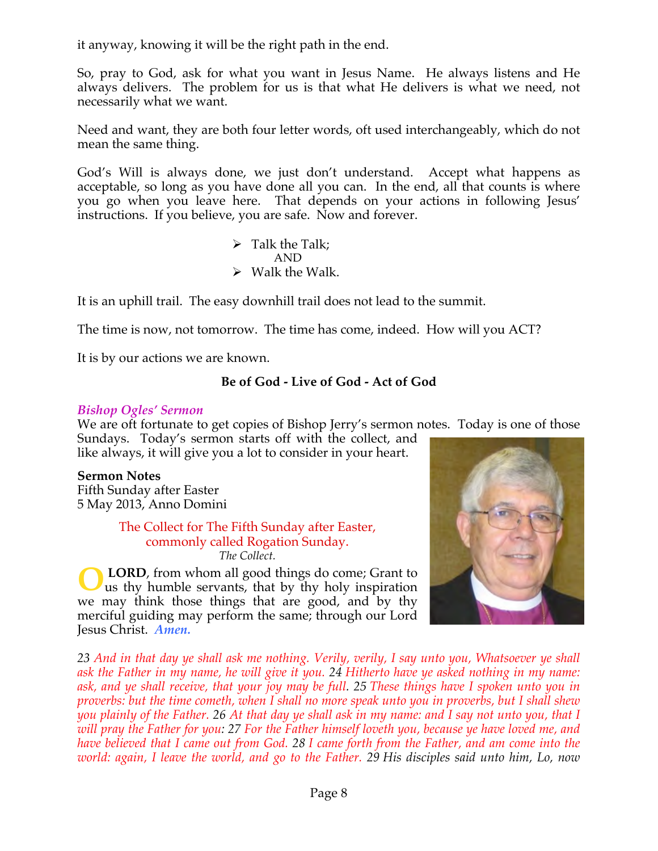it anyway, knowing it will be the right path in the end.

So, pray to God, ask for what you want in Jesus Name. He always listens and He always delivers. The problem for us is that what He delivers is what we need, not necessarily what we want.

Need and want, they are both four letter words, oft used interchangeably, which do not mean the same thing.

God's Will is always done, we just don't understand. Accept what happens as acceptable, so long as you have done all you can. In the end, all that counts is where you go when you leave here. That depends on your actions in following Jesus' instructions. If you believe, you are safe. Now and forever.

> $\triangleright$  Talk the Talk; AND  $\triangleright$  Walk the Walk.

It is an uphill trail. The easy downhill trail does not lead to the summit.

The time is now, not tomorrow. The time has come, indeed. How will you ACT?

It is by our actions we are known.

# **Be of God - Live of God - Act of God**

### *Bishop Ogles' Sermon*

We are oft fortunate to get copies of Bishop Jerry's sermon notes. Today is one of those Sundays. Today's sermon starts off with the collect, and

like always, it will give you a lot to consider in your heart.

**Sermon Notes** Fifth Sunday after Easter 5 May 2013, Anno Domini

> The Collect for The Fifth Sunday after Easter, commonly called Rogation Sunday. *The Collect.*

**LORD**, from whom all good things do come; Grant to us thy humble servants, that by thy holy inspiration we may think those things that are good, and by thy merciful guiding may perform the same; through our Lord Jesus Christ. *Amen.* **O**



*23 And in that day ye shall ask me nothing. Verily, verily, I say unto you, Whatsoever ye shall ask the Father in my name, he will give it you. 24 Hitherto have ye asked nothing in my name: ask, and ye shall receive, that your joy may be full. 25 These things have I spoken unto you in proverbs: but the time cometh, when I shall no more speak unto you in proverbs, but I shall shew you plainly of the Father. 26 At that day ye shall ask in my name: and I say not unto you, that I will pray the Father for you: 27 For the Father himself loveth you, because ye have loved me, and have believed that I came out from God. 28 I came forth from the Father, and am come into the world: again, I leave the world, and go to the Father. 29 His disciples said unto him, Lo, now*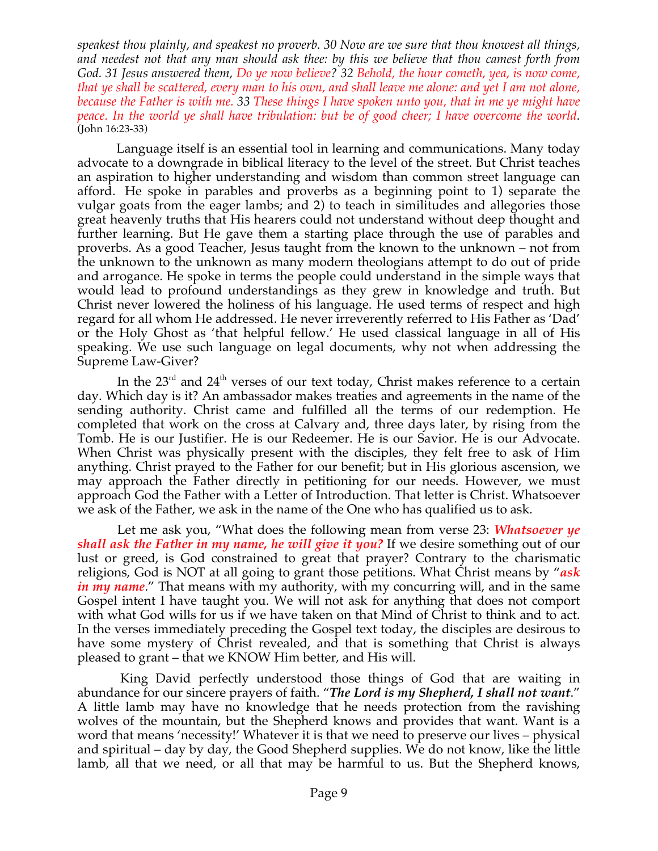*speakest thou plainly, and speakest no proverb. 30 Now are we sure that thou knowest all things, and needest not that any man should ask thee: by this we believe that thou camest forth from God. 31 Jesus answered them, Do ye now believe? 32 Behold, the hour cometh, yea, is now come, that ye shall be scattered, every man to his own, and shall leave me alone: and yet I am not alone, because the Father is with me. 33 These things I have spoken unto you, that in me ye might have peace. In the world ye shall have tribulation: but be of good cheer; I have overcome the world.* (John 16:23-33)

 Language itself is an essential tool in learning and communications. Many today advocate to a downgrade in biblical literacy to the level of the street. But Christ teaches an aspiration to higher understanding and wisdom than common street language can afford. He spoke in parables and proverbs as a beginning point to 1) separate the vulgar goats from the eager lambs; and 2) to teach in similitudes and allegories those great heavenly truths that His hearers could not understand without deep thought and further learning. But He gave them a starting place through the use of parables and proverbs. As a good Teacher, Jesus taught from the known to the unknown – not from the unknown to the unknown as many modern theologians attempt to do out of pride and arrogance. He spoke in terms the people could understand in the simple ways that would lead to profound understandings as they grew in knowledge and truth. But Christ never lowered the holiness of his language. He used terms of respect and high regard for all whom He addressed. He never irreverently referred to His Father as 'Dad' or the Holy Ghost as 'that helpful fellow.' He used classical language in all of His speaking. We use such language on legal documents, why not when addressing the Supreme Law-Giver?

In the  $23<sup>rd</sup>$  and  $24<sup>th</sup>$  verses of our text today, Christ makes reference to a certain day. Which day is it? An ambassador makes treaties and agreements in the name of the sending authority. Christ came and fulfilled all the terms of our redemption. He completed that work on the cross at Calvary and, three days later, by rising from the Tomb. He is our Justifier. He is our Redeemer. He is our Savior. He is our Advocate. When Christ was physically present with the disciples, they felt free to ask of Him anything. Christ prayed to the Father for our benefit; but in His glorious ascension, we may approach the Father directly in petitioning for our needs. However, we must approach God the Father with a Letter of Introduction. That letter is Christ. Whatsoever we ask of the Father, we ask in the name of the One who has qualified us to ask.

 Let me ask you, "What does the following mean from verse 23: *Whatsoever ye shall ask the Father in my name, he will give it you?* If we desire something out of our lust or greed, is God constrained to great that prayer? Contrary to the charismatic religions, God is NOT at all going to grant those petitions. What Christ means by "*ask in my name*." That means with my authority, with my concurring will, and in the same Gospel intent I have taught you. We will not ask for anything that does not comport with what God wills for us if we have taken on that Mind of Christ to think and to act. In the verses immediately preceding the Gospel text today, the disciples are desirous to have some mystery of Christ revealed, and that is something that Christ is always pleased to grant – that we KNOW Him better, and His will.

 King David perfectly understood those things of God that are waiting in abundance for our sincere prayers of faith. "*The Lord is my Shepherd, I shall not want*." A little lamb may have no knowledge that he needs protection from the ravishing wolves of the mountain, but the Shepherd knows and provides that want. Want is a word that means 'necessity!' Whatever it is that we need to preserve our lives – physical and spiritual – day by day, the Good Shepherd supplies. We do not know, like the little lamb, all that we need, or all that may be harmful to us. But the Shepherd knows,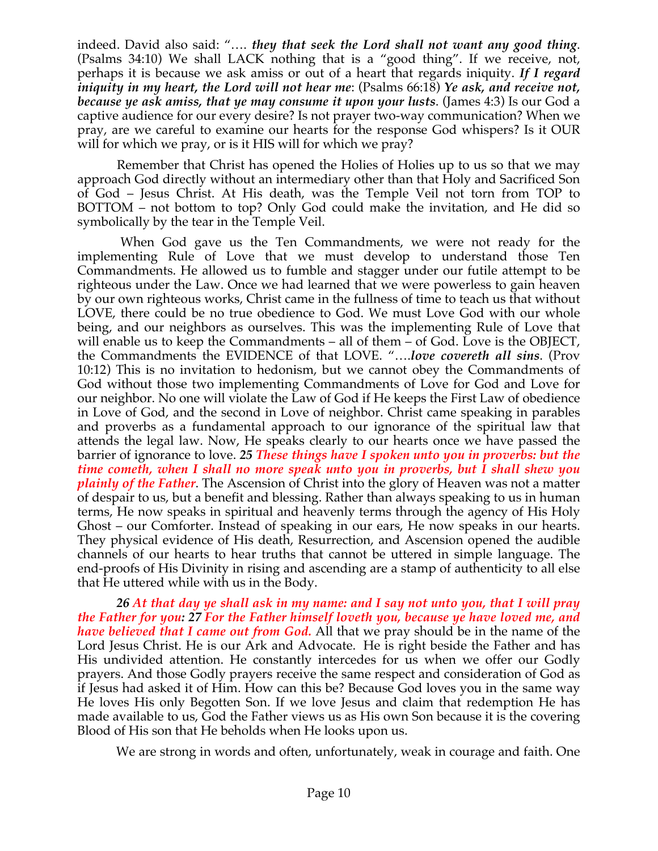indeed. David also said: "…. *they that seek the Lord shall not want any good thing*. (Psalms 34:10) We shall LACK nothing that is a "good thing". If we receive, not, perhaps it is because we ask amiss or out of a heart that regards iniquity. *If I regard iniquity in my heart, the Lord will not hear me*: (Psalms 66:18) *Ye ask, and receive not, because ye ask amiss, that ye may consume it upon your lusts*. (James 4:3) Is our God a captive audience for our every desire? Is not prayer two-way communication? When we pray, are we careful to examine our hearts for the response God whispers? Is it OUR will for which we pray, or is it HIS will for which we pray?

 Remember that Christ has opened the Holies of Holies up to us so that we may approach God directly without an intermediary other than that Holy and Sacrificed Son of God – Jesus Christ. At His death, was the Temple Veil not torn from TOP to BOTTOM – not bottom to top? Only God could make the invitation, and He did so symbolically by the tear in the Temple Veil.

 When God gave us the Ten Commandments, we were not ready for the implementing Rule of Love that we must develop to understand those Ten Commandments. He allowed us to fumble and stagger under our futile attempt to be righteous under the Law. Once we had learned that we were powerless to gain heaven by our own righteous works, Christ came in the fullness of time to teach us that without LOVE, there could be no true obedience to God. We must Love God with our whole being, and our neighbors as ourselves. This was the implementing Rule of Love that will enable us to keep the Commandments – all of them – of God. Love is the OBJECT, the Commandments the EVIDENCE of that LOVE. "….*love covereth all sins*. (Prov 10:12) This is no invitation to hedonism, but we cannot obey the Commandments of God without those two implementing Commandments of Love for God and Love for our neighbor. No one will violate the Law of God if He keeps the First Law of obedience in Love of God, and the second in Love of neighbor. Christ came speaking in parables and proverbs as a fundamental approach to our ignorance of the spiritual law that attends the legal law. Now, He speaks clearly to our hearts once we have passed the barrier of ignorance to love. *25 These things have I spoken unto you in proverbs: but the time cometh, when I shall no more speak unto you in proverbs, but I shall shew you plainly of the Father*. The Ascension of Christ into the glory of Heaven was not a matter of despair to us, but a benefit and blessing. Rather than always speaking to us in human terms, He now speaks in spiritual and heavenly terms through the agency of His Holy Ghost – our Comforter. Instead of speaking in our ears, He now speaks in our hearts. They physical evidence of His death, Resurrection, and Ascension opened the audible channels of our hearts to hear truths that cannot be uttered in simple language. The end-proofs of His Divinity in rising and ascending are a stamp of authenticity to all else that He uttered while with us in the Body.

 *26 At that day ye shall ask in my name: and I say not unto you, that I will pray the Father for you: 27 For the Father himself loveth you, because ye have loved me, and have believed that I came out from God.* All that we pray should be in the name of the Lord Jesus Christ. He is our Ark and Advocate. He is right beside the Father and has His undivided attention. He constantly intercedes for us when we offer our Godly prayers. And those Godly prayers receive the same respect and consideration of God as if Jesus had asked it of Him. How can this be? Because God loves you in the same way He loves His only Begotten Son. If we love Jesus and claim that redemption He has made available to us, God the Father views us as His own Son because it is the covering Blood of His son that He beholds when He looks upon us.

We are strong in words and often, unfortunately, weak in courage and faith. One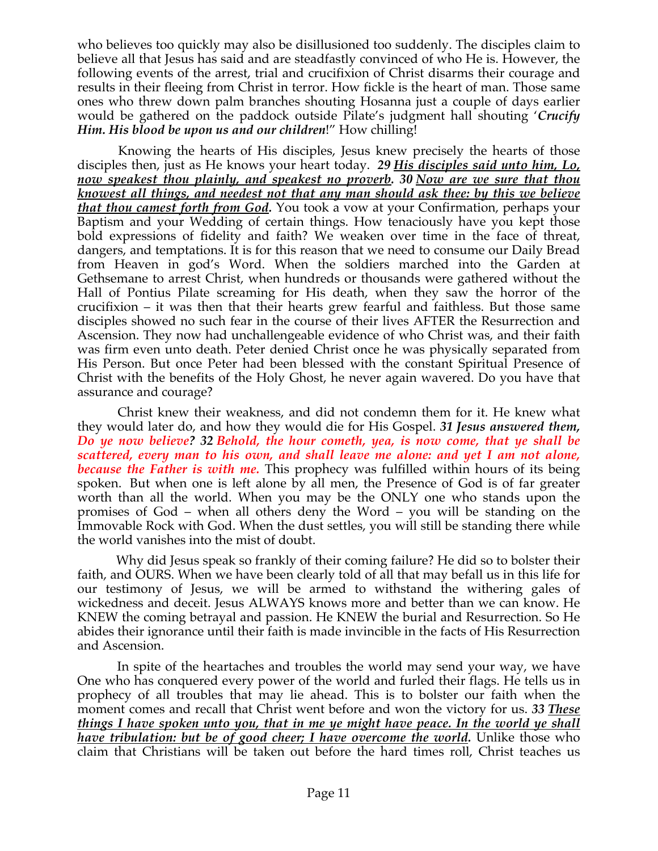who believes too quickly may also be disillusioned too suddenly. The disciples claim to believe all that Jesus has said and are steadfastly convinced of who He is. However, the following events of the arrest, trial and crucifixion of Christ disarms their courage and results in their fleeing from Christ in terror. How fickle is the heart of man. Those same ones who threw down palm branches shouting Hosanna just a couple of days earlier would be gathered on the paddock outside Pilate's judgment hall shouting '*Crucify Him. His blood be upon us and our children*!" How chilling!

 Knowing the hearts of His disciples, Jesus knew precisely the hearts of those disciples then, just as He knows your heart today. *29 His disciples said unto him, Lo, now speakest thou plainly, and speakest no proverb. 30 Now are we sure that thou knowest all things, and needest not that any man should ask thee: by this we believe that thou camest forth from God.* You took a vow at your Confirmation, perhaps your Baptism and your Wedding of certain things. How tenaciously have you kept those bold expressions of fidelity and faith? We weaken over time in the face of threat, dangers, and temptations. It is for this reason that we need to consume our Daily Bread from Heaven in god's Word. When the soldiers marched into the Garden at Gethsemane to arrest Christ, when hundreds or thousands were gathered without the Hall of Pontius Pilate screaming for His death, when they saw the horror of the crucifixion – it was then that their hearts grew fearful and faithless. But those same disciples showed no such fear in the course of their lives AFTER the Resurrection and Ascension. They now had unchallengeable evidence of who Christ was, and their faith was firm even unto death. Peter denied Christ once he was physically separated from His Person. But once Peter had been blessed with the constant Spiritual Presence of Christ with the benefits of the Holy Ghost, he never again wavered. Do you have that assurance and courage?

 Christ knew their weakness, and did not condemn them for it. He knew what they would later do, and how they would die for His Gospel. *31 Jesus answered them, Do ye now believe? 32 Behold, the hour cometh, yea, is now come, that ye shall be scattered, every man to his own, and shall leave me alone: and yet I am not alone, because the Father is with me.* This prophecy was fulfilled within hours of its being spoken. But when one is left alone by all men, the Presence of God is of far greater worth than all the world. When you may be the ONLY one who stands upon the promises of God – when all others deny the Word – you will be standing on the Immovable Rock with God. When the dust settles, you will still be standing there while the world vanishes into the mist of doubt.

 Why did Jesus speak so frankly of their coming failure? He did so to bolster their faith, and OURS. When we have been clearly told of all that may befall us in this life for our testimony of Jesus, we will be armed to withstand the withering gales of wickedness and deceit. Jesus ALWAYS knows more and better than we can know. He KNEW the coming betrayal and passion. He KNEW the burial and Resurrection. So He abides their ignorance until their faith is made invincible in the facts of His Resurrection and Ascension.

 In spite of the heartaches and troubles the world may send your way, we have One who has conquered every power of the world and furled their flags. He tells us in prophecy of all troubles that may lie ahead. This is to bolster our faith when the moment comes and recall that Christ went before and won the victory for us. *33 These things I have spoken unto you, that in me ye might have peace. In the world ye shall have tribulation: but be of good cheer; I have overcome the world.* Unlike those who claim that Christians will be taken out before the hard times roll, Christ teaches us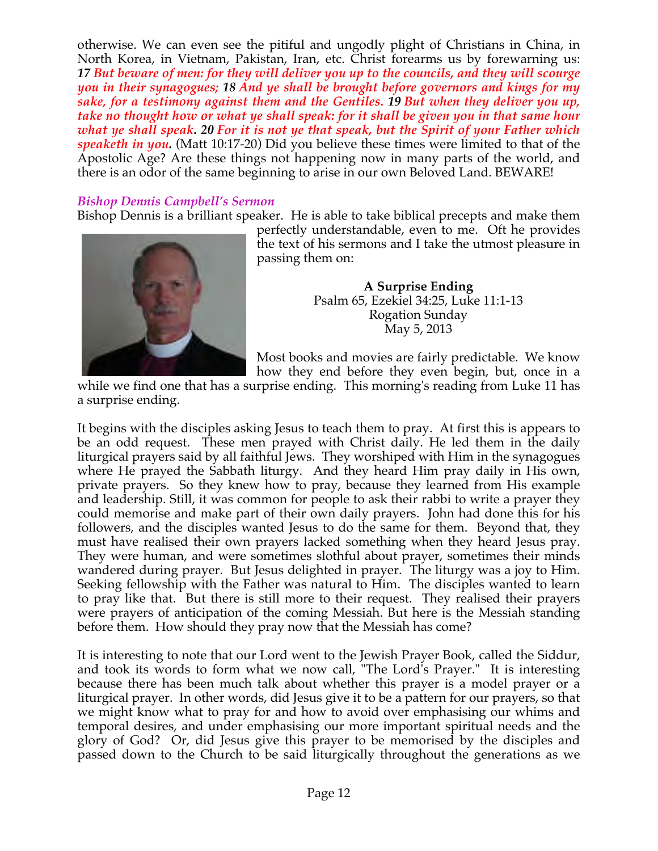otherwise. We can even see the pitiful and ungodly plight of Christians in China, in North Korea, in Vietnam, Pakistan, Iran, etc. Christ forearms us by forewarning us: *17 But beware of men: for they will deliver you up to the councils, and they will scourge you in their synagogues; 18 And ye shall be brought before governors and kings for my sake, for a testimony against them and the Gentiles. 19 But when they deliver you up, take no thought how or what ye shall speak: for it shall be given you in that same hour what ye shall speak. 20 For it is not ye that speak, but the Spirit of your Father which speaketh in you.* (Matt 10:17-20) Did you believe these times were limited to that of the Apostolic Age? Are these things not happening now in many parts of the world, and there is an odor of the same beginning to arise in our own Beloved Land. BEWARE!

# *Bishop Dennis Campbell's Sermon*

Bishop Dennis is a brilliant speaker. He is able to take biblical precepts and make them



perfectly understandable, even to me. Oft he provides the text of his sermons and I take the utmost pleasure in passing them on:

> **A Surprise Ending** Psalm 65, Ezekiel 34:25, Luke 11:1-13 Rogation Sunday May 5, 2013

Most books and movies are fairly predictable. We know how they end before they even begin, but, once in a

while we find one that has a surprise ending. This morning's reading from Luke 11 has a surprise ending.

It begins with the disciples asking Jesus to teach them to pray. At first this is appears to be an odd request. These men prayed with Christ daily. He led them in the daily liturgical prayers said by all faithful Jews. They worshiped with Him in the synagogues where He prayed the Sabbath liturgy. And they heard Him pray daily in His own, private prayers. So they knew how to pray, because they learned from His example and leadership. Still, it was common for people to ask their rabbi to write a prayer they could memorise and make part of their own daily prayers. John had done this for his followers, and the disciples wanted Jesus to do the same for them. Beyond that, they must have realised their own prayers lacked something when they heard Jesus pray. They were human, and were sometimes slothful about prayer, sometimes their minds wandered during prayer. But Jesus delighted in prayer. The liturgy was a joy to Him. Seeking fellowship with the Father was natural to Him. The disciples wanted to learn to pray like that. But there is still more to their request. They realised their prayers were prayers of anticipation of the coming Messiah. But here is the Messiah standing before them. How should they pray now that the Messiah has come?

It is interesting to note that our Lord went to the Jewish Prayer Book, called the Siddur, and took its words to form what we now call, "The Lord's Prayer." It is interesting because there has been much talk about whether this prayer is a model prayer or a liturgical prayer. In other words, did Jesus give it to be a pattern for our prayers, so that we might know what to pray for and how to avoid over emphasising our whims and temporal desires, and under emphasising our more important spiritual needs and the glory of God? Or, did Jesus give this prayer to be memorised by the disciples and passed down to the Church to be said liturgically throughout the generations as we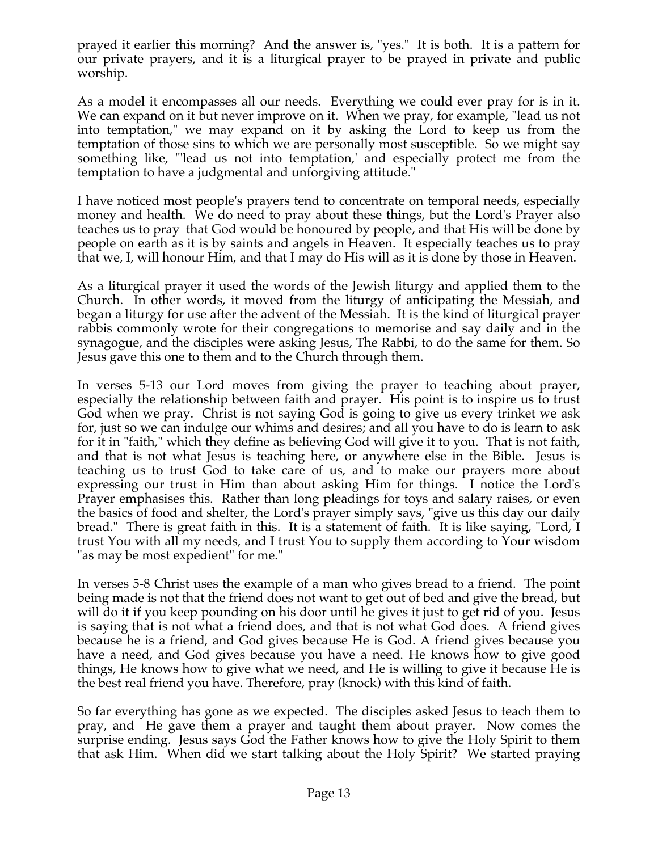prayed it earlier this morning? And the answer is, "yes." It is both. It is a pattern for our private prayers, and it is a liturgical prayer to be prayed in private and public worship.

As a model it encompasses all our needs. Everything we could ever pray for is in it. We can expand on it but never improve on it. When we pray, for example, "lead us not into temptation," we may expand on it by asking the Lord to keep us from the temptation of those sins to which we are personally most susceptible. So we might say something like, "'lead us not into temptation,' and especially protect me from the temptation to have a judgmental and unforgiving attitude."

I have noticed most people's prayers tend to concentrate on temporal needs, especially money and health. We do need to pray about these things, but the Lord's Prayer also teaches us to pray that God would be honoured by people, and that His will be done by people on earth as it is by saints and angels in Heaven. It especially teaches us to pray that we, I, will honour Him, and that I may do His will as it is done by those in Heaven.

As a liturgical prayer it used the words of the Jewish liturgy and applied them to the Church. In other words, it moved from the liturgy of anticipating the Messiah, and began a liturgy for use after the advent of the Messiah. It is the kind of liturgical prayer rabbis commonly wrote for their congregations to memorise and say daily and in the synagogue, and the disciples were asking Jesus, The Rabbi, to do the same for them. So Jesus gave this one to them and to the Church through them.

In verses 5-13 our Lord moves from giving the prayer to teaching about prayer, especially the relationship between faith and prayer. His point is to inspire us to trust God when we pray. Christ is not saying God is going to give us every trinket we ask for, just so we can indulge our whims and desires; and all you have to do is learn to ask for it in "faith," which they define as believing God will give it to you. That is not faith, and that is not what Jesus is teaching here, or anywhere else in the Bible. Jesus is teaching us to trust God to take care of us, and to make our prayers more about expressing our trust in Him than about asking Him for things. I notice the Lord's Prayer emphasises this. Rather than long pleadings for toys and salary raises, or even the basics of food and shelter, the Lord's prayer simply says, "give us this day our daily bread." There is great faith in this. It is a statement of faith. It is like saying, "Lord, I trust You with all my needs, and I trust You to supply them according to Your wisdom "as may be most expedient" for me."

In verses 5-8 Christ uses the example of a man who gives bread to a friend. The point being made is not that the friend does not want to get out of bed and give the bread, but will do it if you keep pounding on his door until he gives it just to get rid of you. Jesus is saying that is not what a friend does, and that is not what God does. A friend gives because he is a friend, and God gives because He is God. A friend gives because you have a need, and God gives because you have a need. He knows how to give good things, He knows how to give what we need, and He is willing to give it because He is the best real friend you have. Therefore, pray (knock) with this kind of faith.

So far everything has gone as we expected. The disciples asked Jesus to teach them to pray, and He gave them a prayer and taught them about prayer. Now comes the surprise ending. Jesus says God the Father knows how to give the Holy Spirit to them that ask Him. When did we start talking about the Holy Spirit? We started praying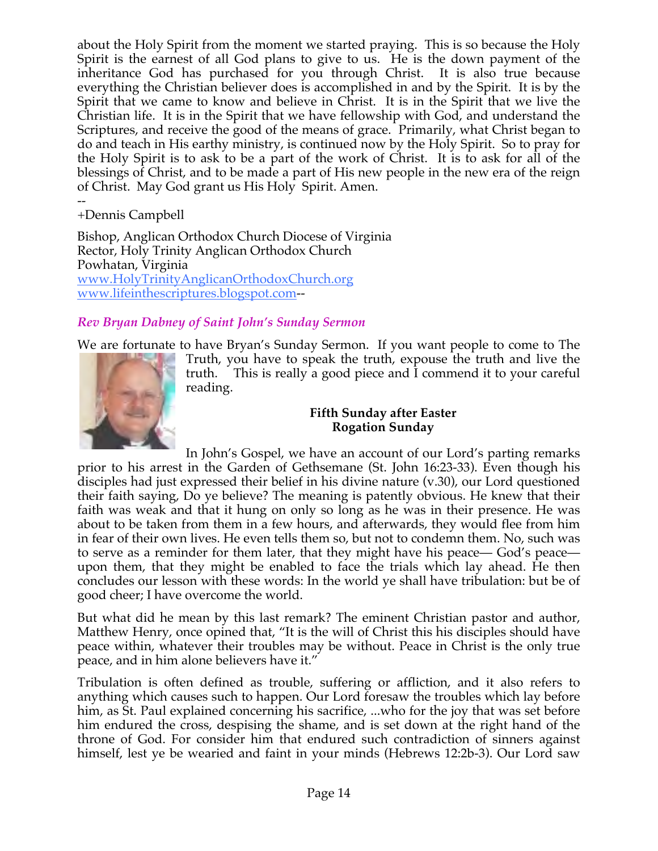about the Holy Spirit from the moment we started praying. This is so because the Holy Spirit is the earnest of all God plans to give to us. He is the down payment of the inheritance God has purchased for you through Christ. It is also true because everything the Christian believer does is accomplished in and by the Spirit. It is by the Spirit that we came to know and believe in Christ. It is in the Spirit that we live the Christian life. It is in the Spirit that we have fellowship with God, and understand the Scriptures, and receive the good of the means of grace. Primarily, what Christ began to do and teach in His earthy ministry, is continued now by the Holy Spirit. So to pray for the Holy Spirit is to ask to be a part of the work of Christ. It is to ask for all of the blessings of Christ, and to be made a part of His new people in the new era of the reign of Christ. May God grant us His Holy Spirit. Amen.

-- +Dennis Campbell

Bishop, Anglican Orthodox Church Diocese of Virginia Rector, Holy Trinity Anglican Orthodox Church Powhatan, Virginia www.HolyTrinityAnglicanOrthodoxChurch.org www.lifeinthescriptures.blogspot.com--

# *Rev Bryan Dabney of Saint John's Sunday Sermon*

We are fortunate to have Bryan's Sunday Sermon. If you want people to come to The



Truth, you have to speak the truth, expouse the truth and live the truth. This is really a good piece and I commend it to your careful reading.

# **Fifth Sunday after Easter Rogation Sunday**

In John's Gospel, we have an account of our Lord's parting remarks prior to his arrest in the Garden of Gethsemane (St. John 16:23-33). Even though his disciples had just expressed their belief in his divine nature (v.30), our Lord questioned their faith saying, Do ye believe? The meaning is patently obvious. He knew that their faith was weak and that it hung on only so long as he was in their presence. He was about to be taken from them in a few hours, and afterwards, they would flee from him in fear of their own lives. He even tells them so, but not to condemn them. No, such was to serve as a reminder for them later, that they might have his peace— God's peace upon them, that they might be enabled to face the trials which lay ahead. He then concludes our lesson with these words: In the world ye shall have tribulation: but be of good cheer; I have overcome the world.

But what did he mean by this last remark? The eminent Christian pastor and author, Matthew Henry, once opined that, "It is the will of Christ this his disciples should have peace within, whatever their troubles may be without. Peace in Christ is the only true peace, and in him alone believers have it."

Tribulation is often defined as trouble, suffering or affliction, and it also refers to anything which causes such to happen. Our Lord foresaw the troubles which lay before him, as St. Paul explained concerning his sacrifice, ...who for the joy that was set before him endured the cross, despising the shame, and is set down at the right hand of the throne of God. For consider him that endured such contradiction of sinners against himself, lest ye be wearied and faint in your minds (Hebrews 12:2b-3). Our Lord saw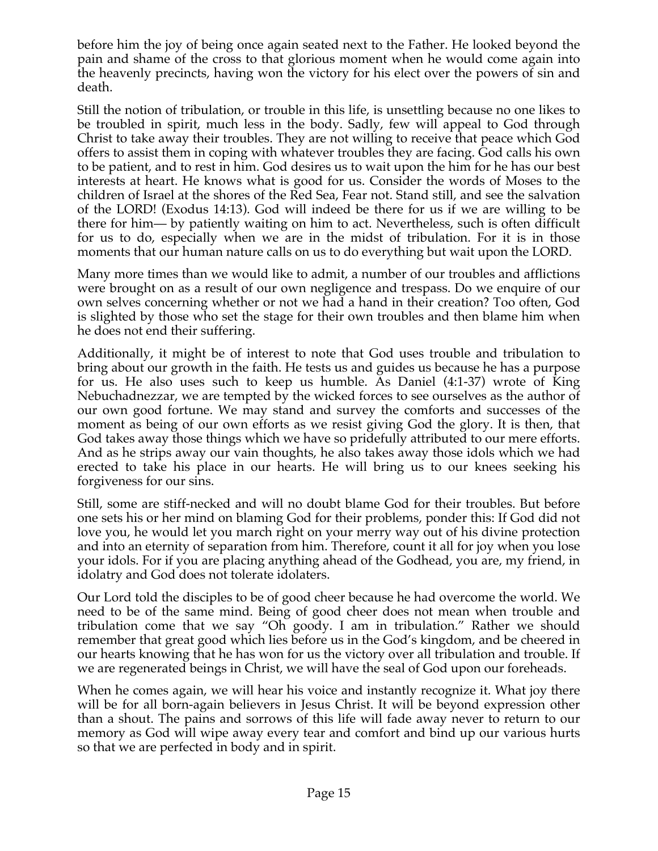before him the joy of being once again seated next to the Father. He looked beyond the pain and shame of the cross to that glorious moment when he would come again into the heavenly precincts, having won the victory for his elect over the powers of sin and death.

Still the notion of tribulation, or trouble in this life, is unsettling because no one likes to be troubled in spirit, much less in the body. Sadly, few will appeal to God through Christ to take away their troubles. They are not willing to receive that peace which God offers to assist them in coping with whatever troubles they are facing. God calls his own to be patient, and to rest in him. God desires us to wait upon the him for he has our best interests at heart. He knows what is good for us. Consider the words of Moses to the children of Israel at the shores of the Red Sea, Fear not. Stand still, and see the salvation of the LORD! (Exodus 14:13). God will indeed be there for us if we are willing to be there for him— by patiently waiting on him to act. Nevertheless, such is often difficult for us to do, especially when we are in the midst of tribulation. For it is in those moments that our human nature calls on us to do everything but wait upon the LORD.

Many more times than we would like to admit, a number of our troubles and afflictions were brought on as a result of our own negligence and trespass. Do we enquire of our own selves concerning whether or not we had a hand in their creation? Too often, God is slighted by those who set the stage for their own troubles and then blame him when he does not end their suffering.

Additionally, it might be of interest to note that God uses trouble and tribulation to bring about our growth in the faith. He tests us and guides us because he has a purpose for us. He also uses such to keep us humble. As Daniel (4:1-37) wrote of King Nebuchadnezzar, we are tempted by the wicked forces to see ourselves as the author of our own good fortune. We may stand and survey the comforts and successes of the moment as being of our own efforts as we resist giving God the glory. It is then, that God takes away those things which we have so pridefully attributed to our mere efforts. And as he strips away our vain thoughts, he also takes away those idols which we had erected to take his place in our hearts. He will bring us to our knees seeking his forgiveness for our sins.

Still, some are stiff-necked and will no doubt blame God for their troubles. But before one sets his or her mind on blaming God for their problems, ponder this: If God did not love you, he would let you march right on your merry way out of his divine protection and into an eternity of separation from him. Therefore, count it all for joy when you lose your idols. For if you are placing anything ahead of the Godhead, you are, my friend, in idolatry and God does not tolerate idolaters.

Our Lord told the disciples to be of good cheer because he had overcome the world. We need to be of the same mind. Being of good cheer does not mean when trouble and tribulation come that we say "Oh goody. I am in tribulation." Rather we should remember that great good which lies before us in the God's kingdom, and be cheered in our hearts knowing that he has won for us the victory over all tribulation and trouble. If we are regenerated beings in Christ, we will have the seal of God upon our foreheads.

When he comes again, we will hear his voice and instantly recognize it. What joy there will be for all born-again believers in Jesus Christ. It will be beyond expression other than a shout. The pains and sorrows of this life will fade away never to return to our memory as God will wipe away every tear and comfort and bind up our various hurts so that we are perfected in body and in spirit.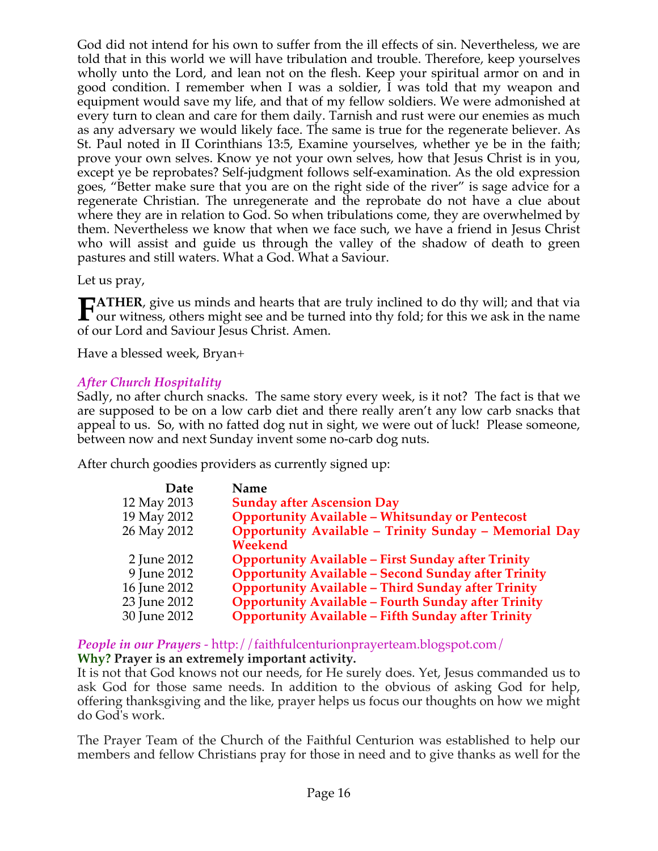God did not intend for his own to suffer from the ill effects of sin. Nevertheless, we are told that in this world we will have tribulation and trouble. Therefore, keep yourselves wholly unto the Lord, and lean not on the flesh. Keep your spiritual armor on and in good condition. I remember when I was a soldier, I was told that my weapon and equipment would save my life, and that of my fellow soldiers. We were admonished at every turn to clean and care for them daily. Tarnish and rust were our enemies as much as any adversary we would likely face. The same is true for the regenerate believer. As St. Paul noted in II Corinthians 13:5, Examine yourselves, whether ye be in the faith; prove your own selves. Know ye not your own selves, how that Jesus Christ is in you, except ye be reprobates? Self-judgment follows self-examination. As the old expression goes, "Better make sure that you are on the right side of the river" is sage advice for a regenerate Christian. The unregenerate and the reprobate do not have a clue about where they are in relation to God. So when tribulations come, they are overwhelmed by them. Nevertheless we know that when we face such, we have a friend in Jesus Christ who will assist and guide us through the valley of the shadow of death to green pastures and still waters. What a God. What a Saviour.

Let us pray,

**ATHER**, give us minds and hearts that are truly inclined to do thy will; and that via **FATHER**, give us minds and hearts that are truly inclined to do thy will; and that via<br>our witness, others might see and be turned into thy fold; for this we ask in the name of our Lord and Saviour Jesus Christ. Amen.

Have a blessed week, Bryan+

# *After Church Hospitality*

Sadly, no after church snacks. The same story every week, is it not? The fact is that we are supposed to be on a low carb diet and there really aren't any low carb snacks that appeal to us. So, with no fatted dog nut in sight, we were out of luck! Please someone, between now and next Sunday invent some no-carb dog nuts.

After church goodies providers as currently signed up:

| Name                                                       |
|------------------------------------------------------------|
| <b>Sunday after Ascension Day</b>                          |
| <b>Opportunity Available - Whitsunday or Pentecost</b>     |
| Opportunity Available - Trinity Sunday - Memorial Day      |
| Weekend                                                    |
| <b>Opportunity Available - First Sunday after Trinity</b>  |
| <b>Opportunity Available - Second Sunday after Trinity</b> |
| <b>Opportunity Available - Third Sunday after Trinity</b>  |
| <b>Opportunity Available - Fourth Sunday after Trinity</b> |
| <b>Opportunity Available - Fifth Sunday after Trinity</b>  |
|                                                            |

*People in our Prayers* - http://faithfulcenturionprayerteam.blogspot.com/ **Why? Prayer is an extremely important activity.**

It is not that God knows not our needs, for He surely does. Yet, Jesus commanded us to ask God for those same needs. In addition to the obvious of asking God for help, offering thanksgiving and the like, prayer helps us focus our thoughts on how we might do God's work.

The Prayer Team of the Church of the Faithful Centurion was established to help our members and fellow Christians pray for those in need and to give thanks as well for the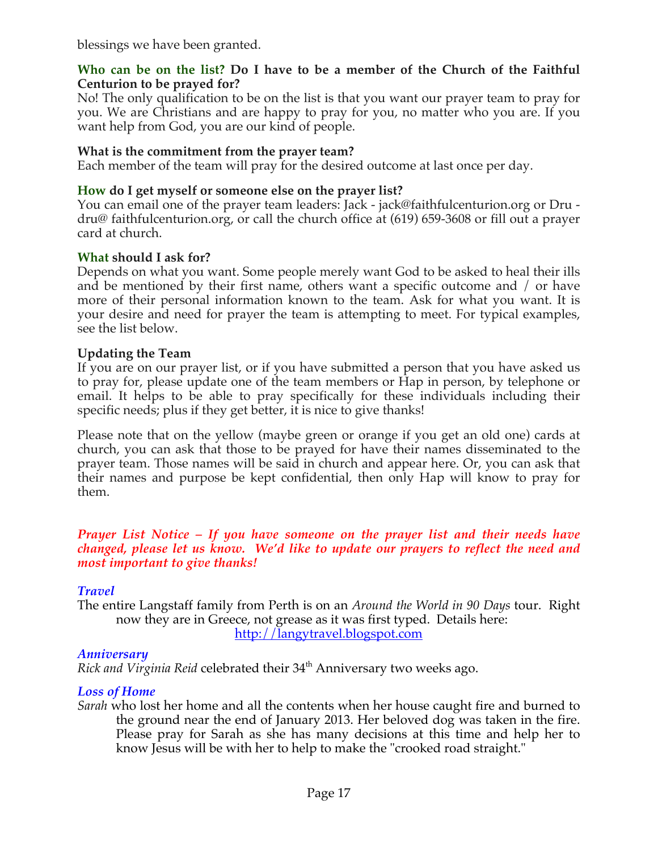blessings we have been granted.

### **Who can be on the list? Do I have to be a member of the Church of the Faithful Centurion to be prayed for?**

No! The only qualification to be on the list is that you want our prayer team to pray for you. We are Christians and are happy to pray for you, no matter who you are. If you want help from God, you are our kind of people.

# **What is the commitment from the prayer team?**

Each member of the team will pray for the desired outcome at last once per day.

# **How do I get myself or someone else on the prayer list?**

You can email one of the prayer team leaders: Jack - jack@faithfulcenturion.org or Dru dru@ faithfulcenturion.org, or call the church office at (619) 659-3608 or fill out a prayer card at church.

### **What should I ask for?**

Depends on what you want. Some people merely want God to be asked to heal their ills and be mentioned by their first name, others want a specific outcome and / or have more of their personal information known to the team. Ask for what you want. It is your desire and need for prayer the team is attempting to meet. For typical examples, see the list below.

### **Updating the Team**

If you are on our prayer list, or if you have submitted a person that you have asked us to pray for, please update one of the team members or Hap in person, by telephone or email. It helps to be able to pray specifically for these individuals including their specific needs; plus if they get better, it is nice to give thanks!

Please note that on the yellow (maybe green or orange if you get an old one) cards at church, you can ask that those to be prayed for have their names disseminated to the prayer team. Those names will be said in church and appear here. Or, you can ask that their names and purpose be kept confidential, then only Hap will know to pray for them.

### *Prayer List Notice – If you have someone on the prayer list and their needs have changed, please let us know. We'd like to update our prayers to reflect the need and most important to give thanks!*

# *Travel*

The entire Langstaff family from Perth is on an *Around the World in 90 Days* tour. Right now they are in Greece, not grease as it was first typed. Details here: http://langytravel.blogspot.com

# *Anniversary*

*Rick and Virginia Reid celebrated their* 34<sup>th</sup> Anniversary two weeks ago.

# *Loss of Home*

*Sarah* who lost her home and all the contents when her house caught fire and burned to the ground near the end of January 2013. Her beloved dog was taken in the fire. Please pray for Sarah as she has many decisions at this time and help her to know Jesus will be with her to help to make the "crooked road straight."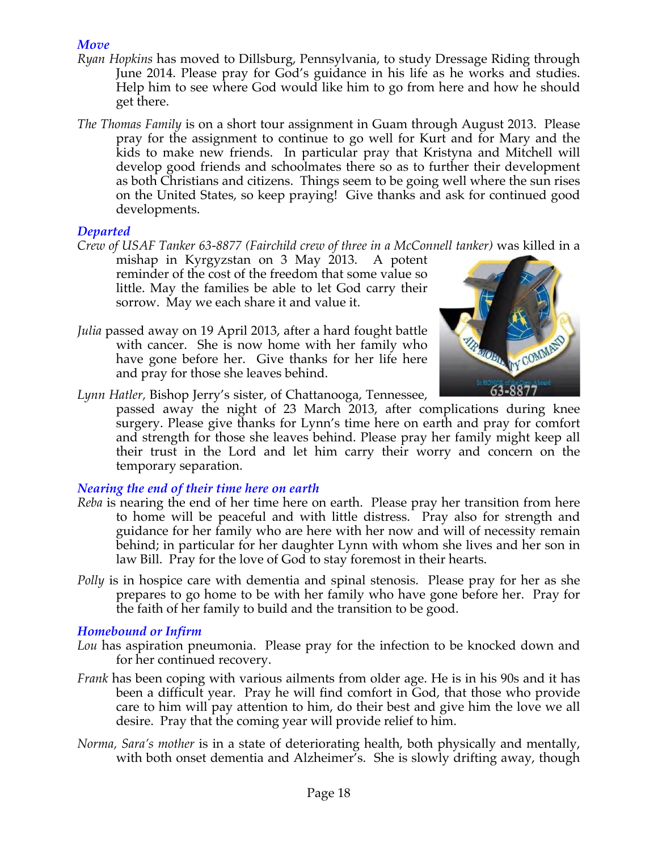# *Move*

- *Ryan Hopkins* has moved to Dillsburg, Pennsylvania, to study Dressage Riding through June 2014. Please pray for God's guidance in his life as he works and studies. Help him to see where God would like him to go from here and how he should get there.
- *The Thomas Family* is on a short tour assignment in Guam through August 2013. Please pray for the assignment to continue to go well for Kurt and for Mary and the kids to make new friends. In particular pray that Kristyna and Mitchell will develop good friends and schoolmates there so as to further their development as both Christians and citizens. Things seem to be going well where the sun rises on the United States, so keep praying! Give thanks and ask for continued good developments.

### *Departed*

*Crew of USAF Tanker 63-8877 (Fairchild crew of three in a McConnell tanker)* was killed in a

mishap in Kyrgyzstan on 3 May 2013. A potent reminder of the cost of the freedom that some value so little. May the families be able to let God carry their sorrow. May we each share it and value it.

*Julia* passed away on 19 April 2013, after a hard fought battle with cancer. She is now home with her family who have gone before her. Give thanks for her life here and pray for those she leaves behind.



*Lynn Hatler,* Bishop Jerry's sister, of Chattanooga, Tennessee,

passed away the night of 23 March 2013, after complications during knee surgery. Please give thanks for Lynn's time here on earth and pray for comfort and strength for those she leaves behind. Please pray her family might keep all their trust in the Lord and let him carry their worry and concern on the temporary separation.

# *Nearing the end of their time here on earth*

- *Reba* is nearing the end of her time here on earth. Please pray her transition from here to home will be peaceful and with little distress. Pray also for strength and guidance for her family who are here with her now and will of necessity remain behind; in particular for her daughter Lynn with whom she lives and her son in law Bill. Pray for the love of God to stay foremost in their hearts.
- *Polly* is in hospice care with dementia and spinal stenosis. Please pray for her as she prepares to go home to be with her family who have gone before her. Pray for the faith of her family to build and the transition to be good.

### *Homebound or Infirm*

- *Lou* has aspiration pneumonia. Please pray for the infection to be knocked down and for her continued recovery.
- *Frank* has been coping with various ailments from older age. He is in his 90s and it has been a difficult year. Pray he will find comfort in God, that those who provide care to him will pay attention to him, do their best and give him the love we all desire. Pray that the coming year will provide relief to him.
- *Norma, Sara's mother* is in a state of deteriorating health, both physically and mentally, with both onset dementia and Alzheimer's. She is slowly drifting away, though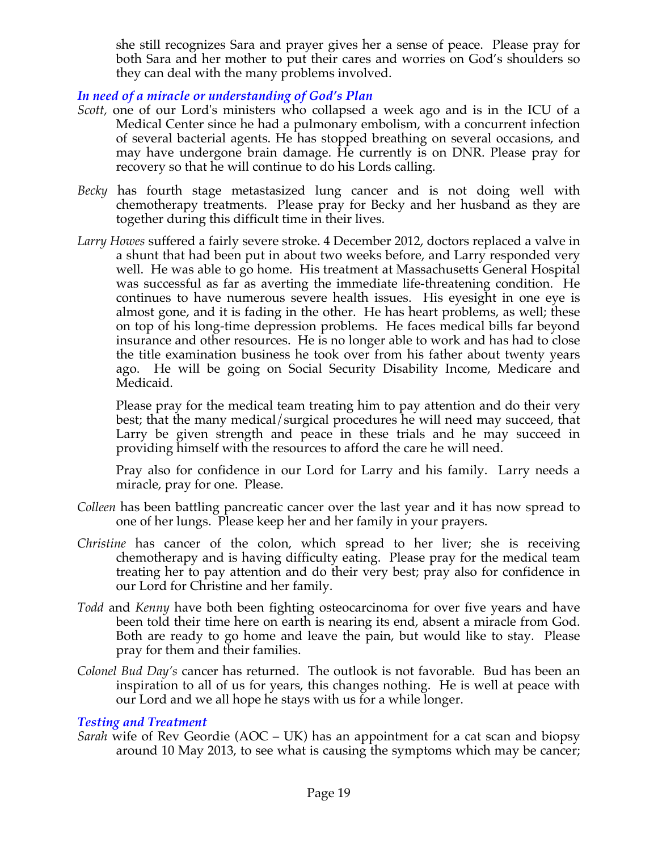she still recognizes Sara and prayer gives her a sense of peace. Please pray for both Sara and her mother to put their cares and worries on God's shoulders so they can deal with the many problems involved.

# *In need of a miracle or understanding of God's Plan*

- *Scott,* one of our Lord's ministers who collapsed a week ago and is in the ICU of a Medical Center since he had a pulmonary embolism, with a concurrent infection of several bacterial agents. He has stopped breathing on several occasions, and may have undergone brain damage. He currently is on DNR. Please pray for recovery so that he will continue to do his Lords calling*.*
- *Becky* has fourth stage metastasized lung cancer and is not doing well with chemotherapy treatments. Please pray for Becky and her husband as they are together during this difficult time in their lives.
- *Larry Howes* suffered a fairly severe stroke. 4 December 2012, doctors replaced a valve in a shunt that had been put in about two weeks before, and Larry responded very well. He was able to go home. His treatment at Massachusetts General Hospital was successful as far as averting the immediate life-threatening condition. He continues to have numerous severe health issues. His eyesight in one eye is almost gone, and it is fading in the other. He has heart problems, as well; these on top of his long-time depression problems. He faces medical bills far beyond insurance and other resources. He is no longer able to work and has had to close the title examination business he took over from his father about twenty years ago. He will be going on Social Security Disability Income, Medicare and Medicaid.

Please pray for the medical team treating him to pay attention and do their very best; that the many medical/surgical procedures he will need may succeed, that Larry be given strength and peace in these trials and he may succeed in providing himself with the resources to afford the care he will need.

Pray also for confidence in our Lord for Larry and his family. Larry needs a miracle, pray for one. Please.

- *Colleen* has been battling pancreatic cancer over the last year and it has now spread to one of her lungs. Please keep her and her family in your prayers.
- *Christine* has cancer of the colon, which spread to her liver; she is receiving chemotherapy and is having difficulty eating. Please pray for the medical team treating her to pay attention and do their very best; pray also for confidence in our Lord for Christine and her family.
- *Todd* and *Kenny* have both been fighting osteocarcinoma for over five years and have been told their time here on earth is nearing its end, absent a miracle from God. Both are ready to go home and leave the pain, but would like to stay. Please pray for them and their families.
- *Colonel Bud Day's* cancer has returned. The outlook is not favorable. Bud has been an inspiration to all of us for years, this changes nothing. He is well at peace with our Lord and we all hope he stays with us for a while longer.

### *Testing and Treatment*

*Sarah* wife of Rev Geordie (AOC – UK) has an appointment for a cat scan and biopsy around 10 May 2013, to see what is causing the symptoms which may be cancer;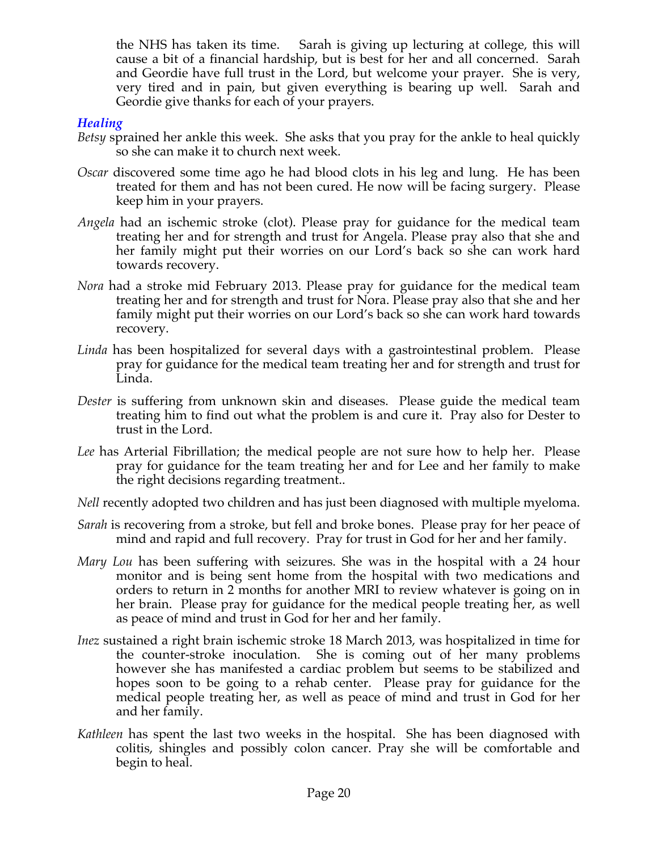the NHS has taken its time. Sarah is giving up lecturing at college, this will cause a bit of a financial hardship, but is best for her and all concerned. Sarah and Geordie have full trust in the Lord, but welcome your prayer. She is very, very tired and in pain, but given everything is bearing up well. Sarah and Geordie give thanks for each of your prayers.

### *Healing*

- *Betsy* sprained her ankle this week. She asks that you pray for the ankle to heal quickly so she can make it to church next week.
- *Oscar* discovered some time ago he had blood clots in his leg and lung. He has been treated for them and has not been cured. He now will be facing surgery. Please keep him in your prayers.
- *Angela* had an ischemic stroke (clot). Please pray for guidance for the medical team treating her and for strength and trust for Angela. Please pray also that she and her family might put their worries on our Lord's back so she can work hard towards recovery.
- *Nora* had a stroke mid February 2013. Please pray for guidance for the medical team treating her and for strength and trust for Nora. Please pray also that she and her family might put their worries on our Lord's back so she can work hard towards recovery.
- *Linda* has been hospitalized for several days with a gastrointestinal problem. Please pray for guidance for the medical team treating her and for strength and trust for Linda.
- *Dester* is suffering from unknown skin and diseases. Please guide the medical team treating him to find out what the problem is and cure it. Pray also for Dester to trust in the Lord.
- *Lee* has Arterial Fibrillation; the medical people are not sure how to help her. Please pray for guidance for the team treating her and for Lee and her family to make the right decisions regarding treatment..
- *Nell* recently adopted two children and has just been diagnosed with multiple myeloma.
- *Sarah* is recovering from a stroke, but fell and broke bones. Please pray for her peace of mind and rapid and full recovery. Pray for trust in God for her and her family.
- *Mary Lou* has been suffering with seizures. She was in the hospital with a 24 hour monitor and is being sent home from the hospital with two medications and orders to return in 2 months for another MRI to review whatever is going on in her brain. Please pray for guidance for the medical people treating her, as well as peace of mind and trust in God for her and her family.
- *Inez* sustained a right brain ischemic stroke 18 March 2013, was hospitalized in time for the counter-stroke inoculation. She is coming out of her many problems however she has manifested a cardiac problem but seems to be stabilized and hopes soon to be going to a rehab center. Please pray for guidance for the medical people treating her, as well as peace of mind and trust in God for her and her family.
- *Kathleen* has spent the last two weeks in the hospital. She has been diagnosed with colitis, shingles and possibly colon cancer. Pray she will be comfortable and begin to heal.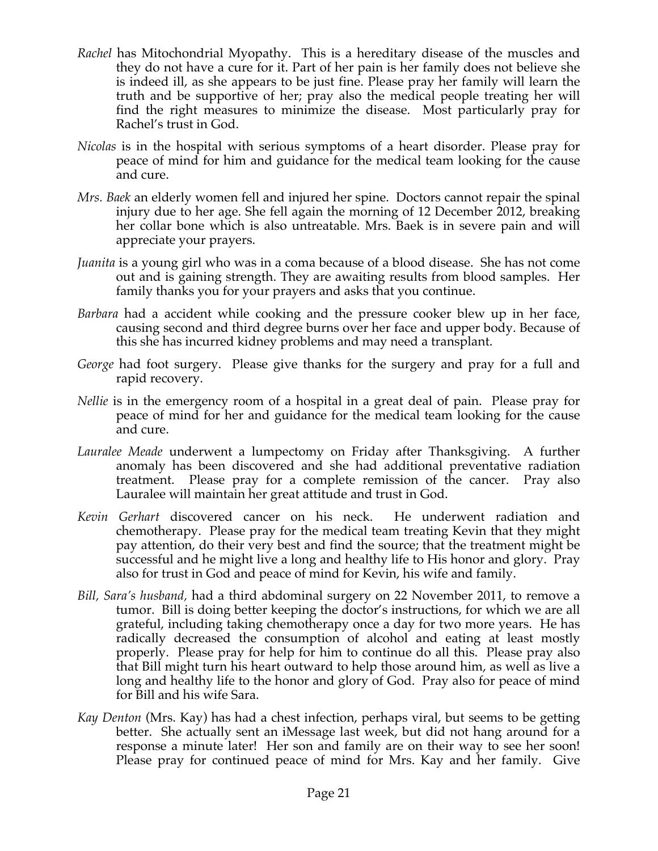- *Rachel* has Mitochondrial Myopathy. This is a hereditary disease of the muscles and they do not have a cure for it. Part of her pain is her family does not believe she is indeed ill, as she appears to be just fine. Please pray her family will learn the truth and be supportive of her; pray also the medical people treating her will find the right measures to minimize the disease. Most particularly pray for Rachel's trust in God.
- *Nicolas* is in the hospital with serious symptoms of a heart disorder. Please pray for peace of mind for him and guidance for the medical team looking for the cause and cure.
- *Mrs. Baek* an elderly women fell and injured her spine. Doctors cannot repair the spinal injury due to her age. She fell again the morning of 12 December 2012, breaking her collar bone which is also untreatable. Mrs. Baek is in severe pain and will appreciate your prayers.
- *Juanita* is a young girl who was in a coma because of a blood disease. She has not come out and is gaining strength. They are awaiting results from blood samples. Her family thanks you for your prayers and asks that you continue.
- *Barbara* had a accident while cooking and the pressure cooker blew up in her face, causing second and third degree burns over her face and upper body. Because of this she has incurred kidney problems and may need a transplant.
- *George* had foot surgery. Please give thanks for the surgery and pray for a full and rapid recovery.
- *Nellie* is in the emergency room of a hospital in a great deal of pain. Please pray for peace of mind for her and guidance for the medical team looking for the cause and cure.
- *Lauralee Meade* underwent a lumpectomy on Friday after Thanksgiving. A further anomaly has been discovered and she had additional preventative radiation treatment. Please pray for a complete remission of the cancer. Pray also Lauralee will maintain her great attitude and trust in God.
- *Kevin Gerhart* discovered cancer on his neck. He underwent radiation and chemotherapy. Please pray for the medical team treating Kevin that they might pay attention, do their very best and find the source; that the treatment might be successful and he might live a long and healthy life to His honor and glory. Pray also for trust in God and peace of mind for Kevin, his wife and family.
- *Bill, Sara's husband,* had a third abdominal surgery on 22 November 2011, to remove a tumor. Bill is doing better keeping the doctor's instructions, for which we are all grateful, including taking chemotherapy once a day for two more years. He has radically decreased the consumption of alcohol and eating at least mostly properly. Please pray for help for him to continue do all this. Please pray also that Bill might turn his heart outward to help those around him, as well as live a long and healthy life to the honor and glory of God. Pray also for peace of mind for Bill and his wife Sara.
- *Kay Denton* (Mrs. Kay) has had a chest infection, perhaps viral, but seems to be getting better. She actually sent an iMessage last week, but did not hang around for a response a minute later! Her son and family are on their way to see her soon! Please pray for continued peace of mind for Mrs. Kay and her family. Give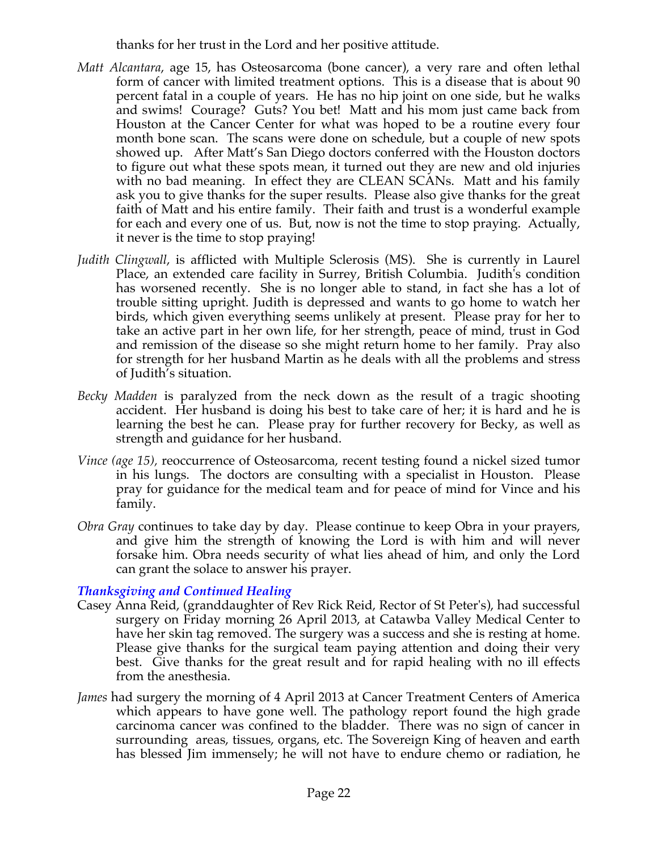thanks for her trust in the Lord and her positive attitude.

- *Matt Alcantara*, age 15, has Osteosarcoma (bone cancer), a very rare and often lethal form of cancer with limited treatment options. This is a disease that is about 90 percent fatal in a couple of years. He has no hip joint on one side, but he walks and swims! Courage? Guts? You bet! Matt and his mom just came back from Houston at the Cancer Center for what was hoped to be a routine every four month bone scan. The scans were done on schedule, but a couple of new spots showed up. After Matt's San Diego doctors conferred with the Houston doctors to figure out what these spots mean, it turned out they are new and old injuries with no bad meaning. In effect they are CLEAN SCANs. Matt and his family ask you to give thanks for the super results. Please also give thanks for the great faith of Matt and his entire family. Their faith and trust is a wonderful example for each and every one of us. But, now is not the time to stop praying. Actually, it never is the time to stop praying!
- *Judith Clingwall*, is afflicted with Multiple Sclerosis (MS). She is currently in Laurel Place, an extended care facility in Surrey, British Columbia. Judith's condition has worsened recently. She is no longer able to stand, in fact she has a lot of trouble sitting upright. Judith is depressed and wants to go home to watch her birds, which given everything seems unlikely at present. Please pray for her to take an active part in her own life, for her strength, peace of mind, trust in God and remission of the disease so she might return home to her family. Pray also for strength for her husband Martin as he deals with all the problems and stress of Judith's situation.
- *Becky Madden* is paralyzed from the neck down as the result of a tragic shooting accident. Her husband is doing his best to take care of her; it is hard and he is learning the best he can. Please pray for further recovery for Becky, as well as strength and guidance for her husband.
- *Vince (age 15),* reoccurrence of Osteosarcoma, recent testing found a nickel sized tumor in his lungs. The doctors are consulting with a specialist in Houston. Please pray for guidance for the medical team and for peace of mind for Vince and his family.
- *Obra Gray* continues to take day by day. Please continue to keep Obra in your prayers, and give him the strength of knowing the Lord is with him and will never forsake him. Obra needs security of what lies ahead of him, and only the Lord can grant the solace to answer his prayer.

### *Thanksgiving and Continued Healing*

- Casey Anna Reid, (granddaughter of Rev Rick Reid, Rector of St Peter's), had successful surgery on Friday morning 26 April 2013, at Catawba Valley Medical Center to have her skin tag removed. The surgery was a success and she is resting at home. Please give thanks for the surgical team paying attention and doing their very best. Give thanks for the great result and for rapid healing with no ill effects from the anesthesia.
- *James* had surgery the morning of 4 April 2013 at Cancer Treatment Centers of America which appears to have gone well. The pathology report found the high grade carcinoma cancer was confined to the bladder. There was no sign of cancer in surrounding areas, tissues, organs, etc. The Sovereign King of heaven and earth has blessed Jim immensely; he will not have to endure chemo or radiation, he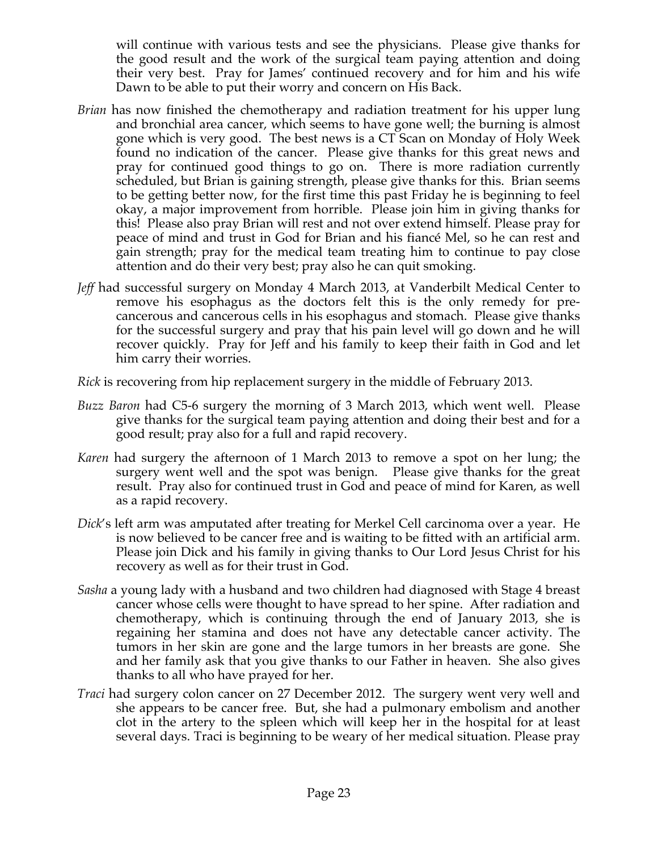will continue with various tests and see the physicians. Please give thanks for the good result and the work of the surgical team paying attention and doing their very best. Pray for James' continued recovery and for him and his wife Dawn to be able to put their worry and concern on His Back.

- *Brian* has now finished the chemotherapy and radiation treatment for his upper lung and bronchial area cancer, which seems to have gone well; the burning is almost gone which is very good. The best news is a CT Scan on Monday of Holy Week found no indication of the cancer. Please give thanks for this great news and pray for continued good things to go on. There is more radiation currently scheduled, but Brian is gaining strength, please give thanks for this. Brian seems to be getting better now, for the first time this past Friday he is beginning to feel okay, a major improvement from horrible. Please join him in giving thanks for this! Please also pray Brian will rest and not over extend himself. Please pray for peace of mind and trust in God for Brian and his fiancé Mel, so he can rest and gain strength; pray for the medical team treating him to continue to pay close attention and do their very best; pray also he can quit smoking.
- *Jeff* had successful surgery on Monday 4 March 2013, at Vanderbilt Medical Center to remove his esophagus as the doctors felt this is the only remedy for precancerous and cancerous cells in his esophagus and stomach. Please give thanks for the successful surgery and pray that his pain level will go down and he will recover quickly. Pray for Jeff and his family to keep their faith in God and let him carry their worries.

*Rick* is recovering from hip replacement surgery in the middle of February 2013.

- *Buzz Baron* had C5-6 surgery the morning of 3 March 2013, which went well. Please give thanks for the surgical team paying attention and doing their best and for a good result; pray also for a full and rapid recovery.
- *Karen* had surgery the afternoon of 1 March 2013 to remove a spot on her lung; the surgery went well and the spot was benign. Please give thanks for the great result. Pray also for continued trust in God and peace of mind for Karen, as well as a rapid recovery.
- *Dick*'s left arm was amputated after treating for Merkel Cell carcinoma over a year. He is now believed to be cancer free and is waiting to be fitted with an artificial arm. Please join Dick and his family in giving thanks to Our Lord Jesus Christ for his recovery as well as for their trust in God.
- *Sasha* a young lady with a husband and two children had diagnosed with Stage 4 breast cancer whose cells were thought to have spread to her spine. After radiation and chemotherapy, which is continuing through the end of January 2013, she is regaining her stamina and does not have any detectable cancer activity. The tumors in her skin are gone and the large tumors in her breasts are gone. She and her family ask that you give thanks to our Father in heaven. She also gives thanks to all who have prayed for her.
- *Traci* had surgery colon cancer on 27 December 2012. The surgery went very well and she appears to be cancer free. But, she had a pulmonary embolism and another clot in the artery to the spleen which will keep her in the hospital for at least several days. Traci is beginning to be weary of her medical situation. Please pray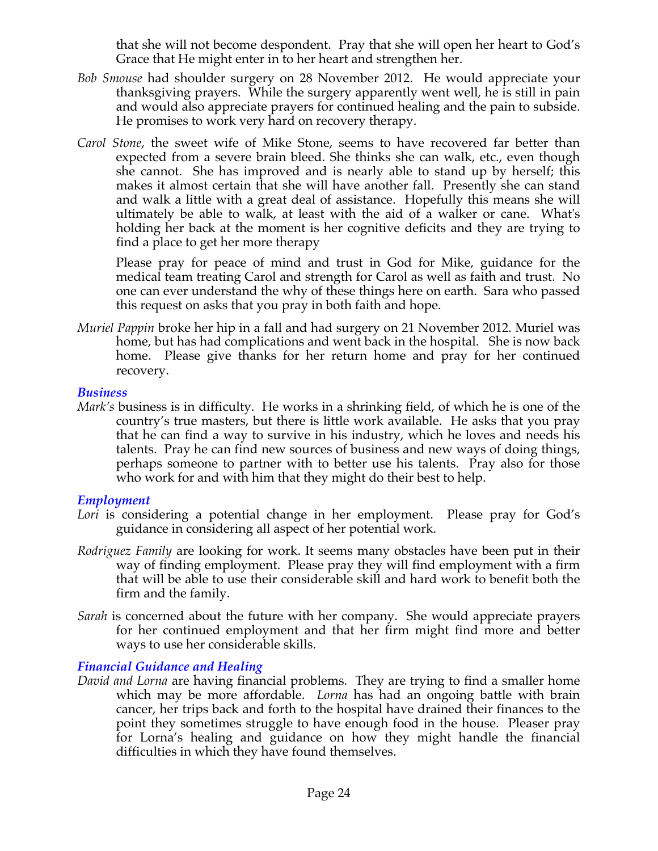that she will not become despondent. Pray that she will open her heart to God's Grace that He might enter in to her heart and strengthen her.

- *Bob Smouse* had shoulder surgery on 28 November 2012. He would appreciate your thanksgiving prayers. While the surgery apparently went well, he is still in pain and would also appreciate prayers for continued healing and the pain to subside. He promises to work very hard on recovery therapy.
- *Carol Stone*, the sweet wife of Mike Stone, seems to have recovered far better than expected from a severe brain bleed. She thinks she can walk, etc., even though she cannot. She has improved and is nearly able to stand up by herself; this makes it almost certain that she will have another fall. Presently she can stand and walk a little with a great deal of assistance. Hopefully this means she will ultimately be able to walk, at least with the aid of a walker or cane. What's holding her back at the moment is her cognitive deficits and they are trying to find a place to get her more therapy

Please pray for peace of mind and trust in God for Mike, guidance for the medical team treating Carol and strength for Carol as well as faith and trust. No one can ever understand the why of these things here on earth. Sara who passed this request on asks that you pray in both faith and hope.

*Muriel Pappin* broke her hip in a fall and had surgery on 21 November 2012. Muriel was home, but has had complications and went back in the hospital. She is now back home. Please give thanks for her return home and pray for her continued recovery.

#### *Business*

*Mark's* business is in difficulty. He works in a shrinking field, of which he is one of the country's true masters, but there is little work available. He asks that you pray that he can find a way to survive in his industry, which he loves and needs his talents. Pray he can find new sources of business and new ways of doing things, perhaps someone to partner with to better use his talents. Pray also for those who work for and with him that they might do their best to help.

### *Employment*

- *Lori* is considering a potential change in her employment. Please pray for God's guidance in considering all aspect of her potential work.
- *Rodriguez Family* are looking for work. It seems many obstacles have been put in their way of finding employment. Please pray they will find employment with a firm that will be able to use their considerable skill and hard work to benefit both the firm and the family.
- *Sarah* is concerned about the future with her company. She would appreciate prayers for her continued employment and that her firm might find more and better ways to use her considerable skills.

# *Financial Guidance and Healing*

*David and Lorna* are having financial problems. They are trying to find a smaller home which may be more affordable. *Lorna* has had an ongoing battle with brain cancer, her trips back and forth to the hospital have drained their finances to the point they sometimes struggle to have enough food in the house. Pleaser pray for Lorna's healing and guidance on how they might handle the financial difficulties in which they have found themselves.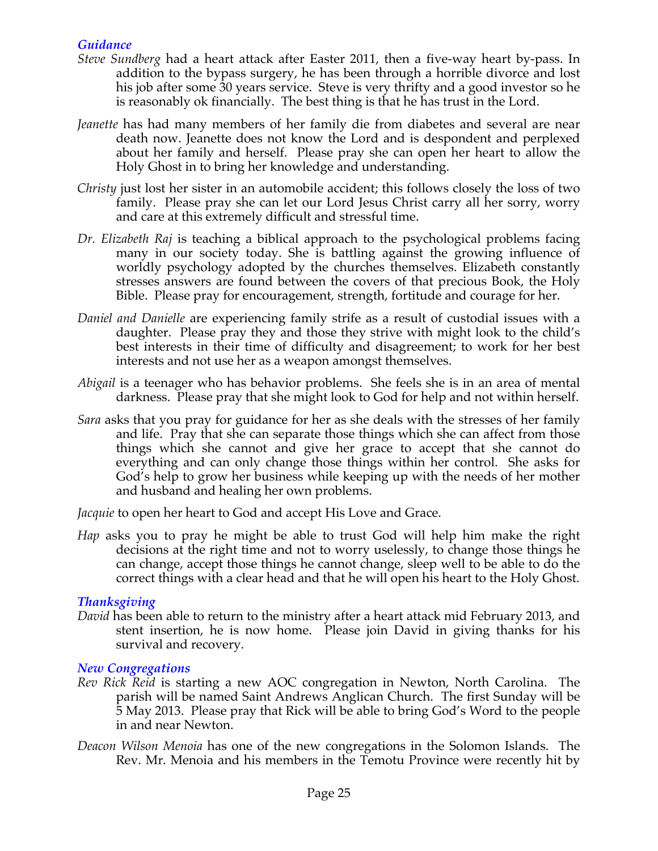# *Guidance*

- *Steve Sundberg* had a heart attack after Easter 2011, then a five-way heart by-pass. In addition to the bypass surgery, he has been through a horrible divorce and lost his job after some 30 years service. Steve is very thrifty and a good investor so he is reasonably ok financially. The best thing is that he has trust in the Lord.
- *Jeanette* has had many members of her family die from diabetes and several are near death now. Jeanette does not know the Lord and is despondent and perplexed about her family and herself. Please pray she can open her heart to allow the Holy Ghost in to bring her knowledge and understanding.
- *Christy* just lost her sister in an automobile accident; this follows closely the loss of two family. Please pray she can let our Lord Jesus Christ carry all her sorry, worry and care at this extremely difficult and stressful time.
- *Dr. Elizabeth Raj* is teaching a biblical approach to the psychological problems facing many in our society today. She is battling against the growing influence of worldly psychology adopted by the churches themselves. Elizabeth constantly stresses answers are found between the covers of that precious Book, the Holy Bible. Please pray for encouragement, strength, fortitude and courage for her.
- *Daniel and Danielle* are experiencing family strife as a result of custodial issues with a daughter. Please pray they and those they strive with might look to the child's best interests in their time of difficulty and disagreement; to work for her best interests and not use her as a weapon amongst themselves.
- *Abigail* is a teenager who has behavior problems. She feels she is in an area of mental darkness. Please pray that she might look to God for help and not within herself.
- *Sara* asks that you pray for guidance for her as she deals with the stresses of her family and life. Pray that she can separate those things which she can affect from those things which she cannot and give her grace to accept that she cannot do everything and can only change those things within her control. She asks for God's help to grow her business while keeping up with the needs of her mother and husband and healing her own problems.

*Jacquie* to open her heart to God and accept His Love and Grace.

*Hap* asks you to pray he might be able to trust God will help him make the right decisions at the right time and not to worry uselessly, to change those things he can change, accept those things he cannot change, sleep well to be able to do the correct things with a clear head and that he will open his heart to the Holy Ghost.

### *Thanksgiving*

*David* has been able to return to the ministry after a heart attack mid February 2013, and stent insertion, he is now home. Please join David in giving thanks for his survival and recovery.

### *New Congregations*

- *Rev Rick Reid* is starting a new AOC congregation in Newton, North Carolina. The parish will be named Saint Andrews Anglican Church. The first Sunday will be 5 May 2013. Please pray that Rick will be able to bring God's Word to the people in and near Newton.
- *Deacon Wilson Menoia* has one of the new congregations in the Solomon Islands. The Rev. Mr. Menoia and his members in the Temotu Province were recently hit by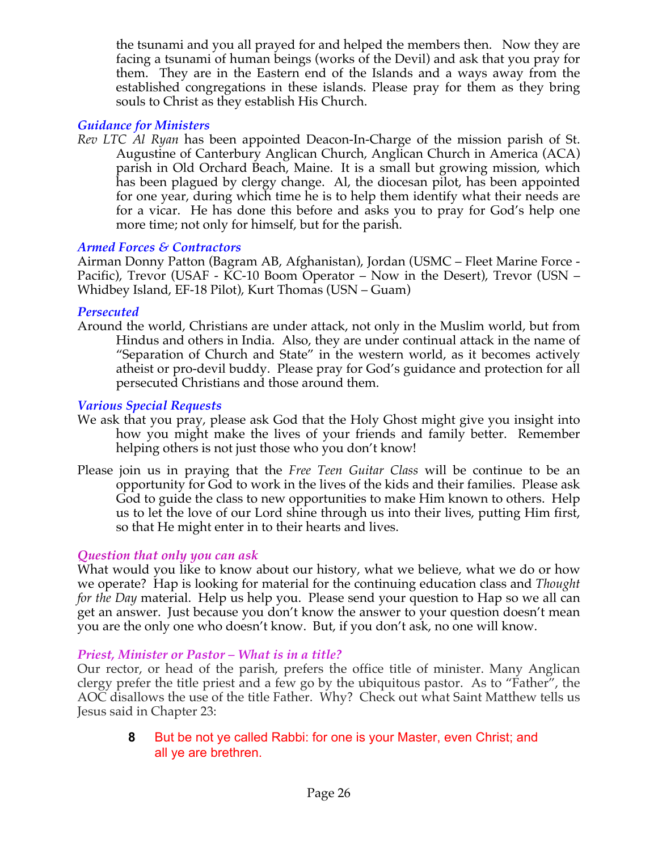the tsunami and you all prayed for and helped the members then. Now they are facing a tsunami of human beings (works of the Devil) and ask that you pray for them. They are in the Eastern end of the Islands and a ways away from the established congregations in these islands. Please pray for them as they bring souls to Christ as they establish His Church.

# *Guidance for Ministers*

*Rev LTC Al Ryan* has been appointed Deacon-In-Charge of the mission parish of St. Augustine of Canterbury Anglican Church, Anglican Church in America (ACA) parish in Old Orchard Beach, Maine. It is a small but growing mission, which has been plagued by clergy change. Al, the diocesan pilot, has been appointed for one year, during which time he is to help them identify what their needs are for a vicar. He has done this before and asks you to pray for God's help one more time; not only for himself, but for the parish.

### *Armed Forces & Contractors*

Airman Donny Patton (Bagram AB, Afghanistan), Jordan (USMC – Fleet Marine Force - Pacific), Trevor (USAF - KC-10 Boom Operator – Now in the Desert), Trevor (USN – Whidbey Island, EF-18 Pilot), Kurt Thomas (USN – Guam)

### *Persecuted*

Around the world, Christians are under attack, not only in the Muslim world, but from Hindus and others in India. Also, they are under continual attack in the name of "Separation of Church and State" in the western world, as it becomes actively atheist or pro-devil buddy. Please pray for God's guidance and protection for all persecuted Christians and those around them.

### *Various Special Requests*

- We ask that you pray, please ask God that the Holy Ghost might give you insight into how you might make the lives of your friends and family better. Remember helping others is not just those who you don't know!
- Please join us in praying that the *Free Teen Guitar Class* will be continue to be an opportunity for God to work in the lives of the kids and their families. Please ask God to guide the class to new opportunities to make Him known to others. Help us to let the love of our Lord shine through us into their lives, putting Him first, so that He might enter in to their hearts and lives.

# *Question that only you can ask*

What would you like to know about our history, what we believe, what we do or how we operate? Hap is looking for material for the continuing education class and *Thought for the Day* material. Help us help you. Please send your question to Hap so we all can get an answer. Just because you don't know the answer to your question doesn't mean you are the only one who doesn't know. But, if you don't ask, no one will know.

### *Priest, Minister or Pastor – What is in a title?*

Our rector, or head of the parish, prefers the office title of minister. Many Anglican clergy prefer the title priest and a few go by the ubiquitous pastor. As to "Father", the AOC disallows the use of the title Father. Why? Check out what Saint Matthew tells us Jesus said in Chapter 23:

**8** But be not ye called Rabbi: for one is your Master, even Christ; and all ye are brethren.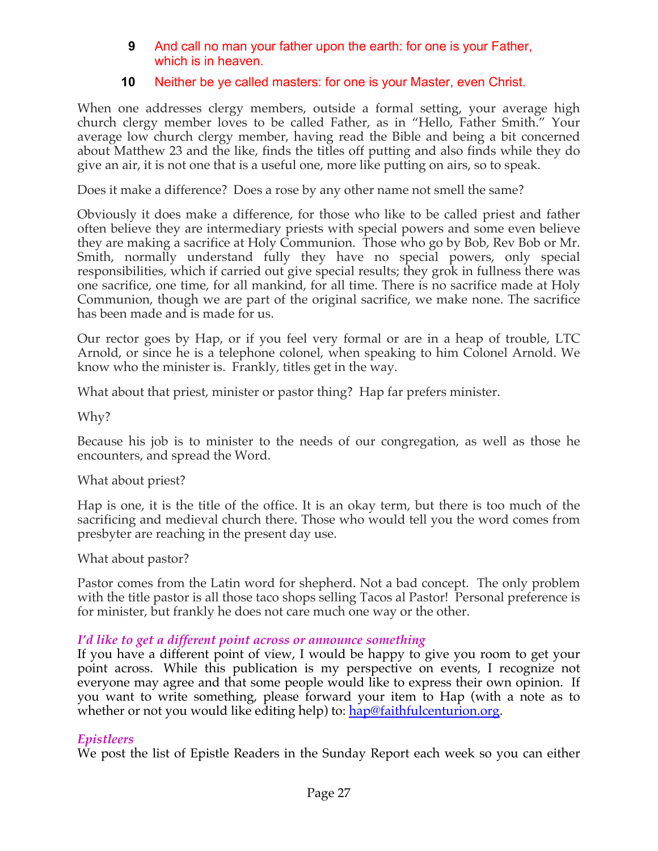### **9** And call no man your father upon the earth: for one is your Father, which is in heaven.

# **10** Neither be ye called masters: for one is your Master, even Christ.

When one addresses clergy members, outside a formal setting, your average high church clergy member loves to be called Father, as in "Hello, Father Smith." Your average low church clergy member, having read the Bible and being a bit concerned about Matthew 23 and the like, finds the titles off putting and also finds while they do give an air, it is not one that is a useful one, more like putting on airs, so to speak.

Does it make a difference? Does a rose by any other name not smell the same?

Obviously it does make a difference, for those who like to be called priest and father often believe they are intermediary priests with special powers and some even believe they are making a sacrifice at Holy Communion. Those who go by Bob, Rev Bob or Mr. Smith, normally understand fully they have no special powers, only special responsibilities, which if carried out give special results; they grok in fullness there was one sacrifice, one time, for all mankind, for all time. There is no sacrifice made at Holy Communion, though we are part of the original sacrifice, we make none. The sacrifice has been made and is made for us.

Our rector goes by Hap, or if you feel very formal or are in a heap of trouble, LTC Arnold, or since he is a telephone colonel, when speaking to him Colonel Arnold. We know who the minister is. Frankly, titles get in the way.

What about that priest, minister or pastor thing? Hap far prefers minister.

Why?

Because his job is to minister to the needs of our congregation, as well as those he encounters, and spread the Word.

What about priest?

Hap is one, it is the title of the office. It is an okay term, but there is too much of the sacrificing and medieval church there. Those who would tell you the word comes from presbyter are reaching in the present day use.

What about pastor?

Pastor comes from the Latin word for shepherd. Not a bad concept. The only problem with the title pastor is all those taco shops selling Tacos al Pastor! Personal preference is for minister, but frankly he does not care much one way or the other.

# *I'd like to get a different point across or announce something*

If you have a different point of view, I would be happy to give you room to get your point across. While this publication is my perspective on events, I recognize not everyone may agree and that some people would like to express their own opinion. If you want to write something, please forward your item to Hap (with a note as to whether or not you would like editing help) to: hap@faithfulcenturion.org.

# *Epistleers*

We post the list of Epistle Readers in the Sunday Report each week so you can either